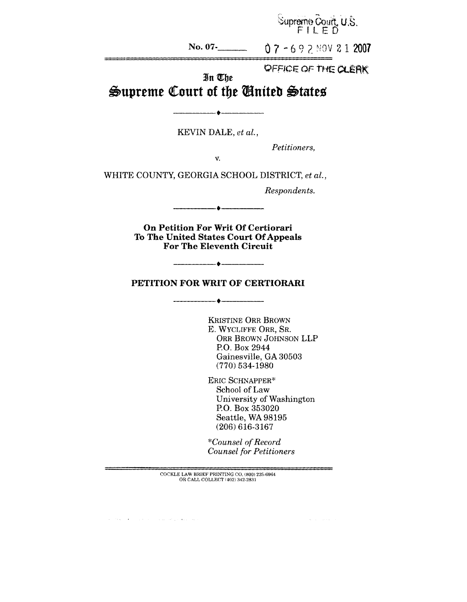Supreme Court, U.S. FILED

**No. 07-**  $07 - 692$  NOV 21 2007

**OFFICE OF THE CLEAK** 

# In The **Supreme Court of the Cinited States**

 $\bullet$   $-$ 

KEVIN DALE, *et al.,*

*Petitioners,*

V.

WHITE COUNTY, GEORGIA SCHOOL DISTRICT, *et al.,*

*Respondents.*

**On Petition For Writ Of Certiorari To The United States Court Of Appeals For The Eleventh Circuit**

**PETITION FOR WRIT OF CERTIORARI**

 $\begin{picture}(20,20)(-0,0) \put(0,0){\vector(1,0){10}} \put(15,0){\vector(1,0){10}} \put(15,0){\vector(1,0){10}} \put(15,0){\vector(1,0){10}} \put(15,0){\vector(1,0){10}} \put(15,0){\vector(1,0){10}} \put(15,0){\vector(1,0){10}} \put(15,0){\vector(1,0){10}} \put(15,0){\vector(1,0){10}} \put(15,0){\vector(1,0){10}} \put(15,0){\vector(1,0){10}} \put(15,0$ 

-0-

KRISTINE ORR BROWN E. WYCLIFFE ORR, SR. ORR BROWN JOHNSON LLP P.O. Box 2944 Gainesville, GA 30503 (770) 534-1980

ERIC SCHNAPPER\* School of Law University of Washington P.O. Box 353020 Seattle, WA 98195 (206) 616-3167

--------------

 $\langle \phi_{\alpha} \rangle$  is a second  $\beta$ 

*\*Counsel of Record Counsel for Petitioners*

COCKLE LAW BRIEF PRINTING CO. (800) 225-6964 OR CALL COLLECT (402) 342-2831

 $\left\langle \theta_{\alpha} \right\rangle \geq 2 \left\langle \theta_{\alpha} \right\rangle \geq \left\langle \theta_{\alpha} \right\rangle \geq \left\langle \theta_{\alpha} \right\rangle \geq \left\langle \theta_{\alpha} \right\rangle \geq \left\langle \theta_{\alpha} \right\rangle \geq \left\langle \theta_{\alpha} \right\rangle \geq \left\langle \theta_{\alpha} \right\rangle \geq \left\langle \theta_{\alpha} \right\rangle \geq \left\langle \theta_{\alpha} \right\rangle \geq$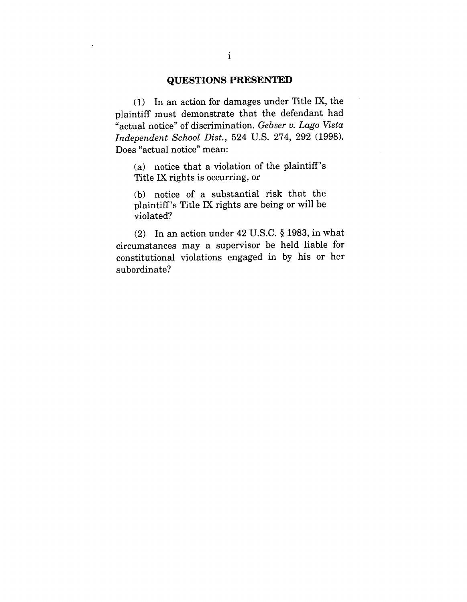### **QUESTIONS PRESENTED**

(1) In an action for damages under Title IX, the plaintiff must demonstrate that the defendant had "actual notice" of discrimination. *Gebser v. Lago Vista Independent School Dist.,* 524 U.S. 274, 292 (1998). Does "actual notice" mean:

(a) notice that a violation of the plaintiff's Title IX rights is occurring, or

(b) notice of a substantial risk that the plaintiff's Title IX rights are being or will be violated?

(2) In an action under 42 U.S.C. § 1983, in what circumstances may a supervisor be held liable for constitutional violations engaged in by his or her subordinate?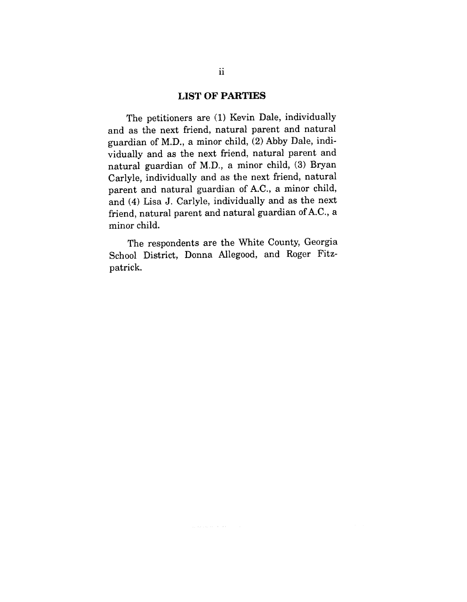#### **LIST OF PARTIES**

The petitioners are (1) Kevin Dale, individually and as the next friend, natural parent and natural guardian of M.D., a minor child, (2)Abby Dale, individually and as the next friend, natural parent and natural guardian of M.D., a minor child, (3) Bryan Carlyle, individually and as the next friend, natural parent and natural guardian of A.C., a minor child, and (4) Lisa J. Carlyle, individually and as the next friend, natural parent and natural guardian of A.C., a minor child.

The respondents are the White County, Georgia School District, Donna Allegood, and Roger Fitzpatrick.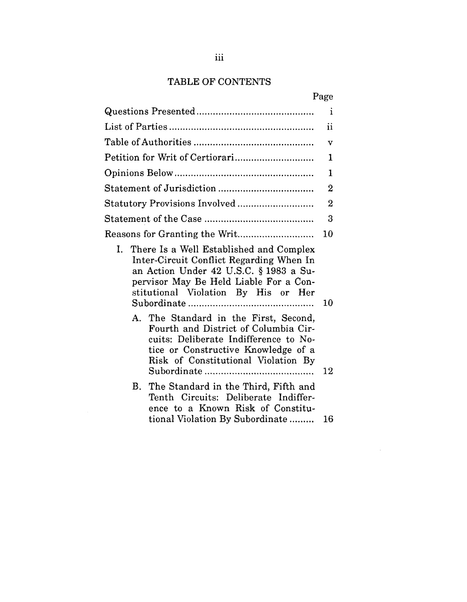## TABLE OF CONTENTS

 $\frac{1}{2} \frac{1}{2} \frac{1}{2}$ 

|                                                                                                                                                                                                                   | $\mathbf{i}$            |
|-------------------------------------------------------------------------------------------------------------------------------------------------------------------------------------------------------------------|-------------------------|
|                                                                                                                                                                                                                   | $\mathbf{ii}$           |
|                                                                                                                                                                                                                   | $\overline{\mathbf{v}}$ |
|                                                                                                                                                                                                                   | $\mathbf{1}$            |
|                                                                                                                                                                                                                   | $\mathbf{1}$            |
|                                                                                                                                                                                                                   |                         |
| Statutory Provisions Involved                                                                                                                                                                                     | 2                       |
|                                                                                                                                                                                                                   | 3                       |
|                                                                                                                                                                                                                   | 10                      |
| I. There Is a Well Established and Complex<br>Inter-Circuit Conflict Regarding When In<br>an Action Under 42 U.S.C. § 1983 a Su-<br>pervisor May Be Held Liable For a Con-<br>stitutional Violation By His or Her | 10                      |
| A. The Standard in the First, Second,<br>Fourth and District of Columbia Cir-<br>cuits: Deliberate Indifference to No-<br>tice or Constructive Knowledge of a<br>Risk of Constitutional Violation By              | 12                      |
| B. The Standard in the Third, Fifth and<br>Tenth Circuits: Deliberate Indiffer-<br>ence to a Known Risk of Constitu-<br>tional Violation By Subordinate                                                           | 16                      |
|                                                                                                                                                                                                                   |                         |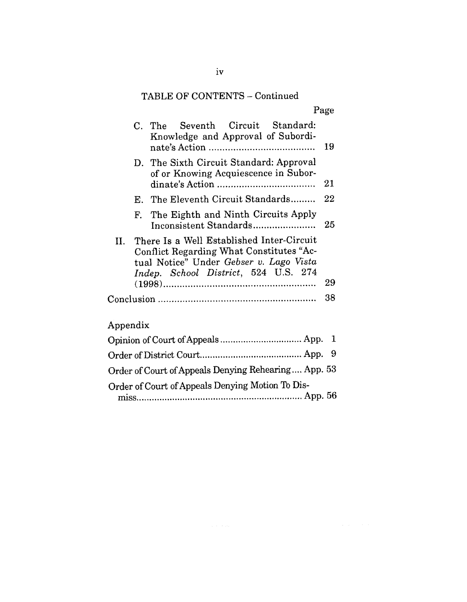# TABLE OF CONTENTS - Continued

|          | C. The Seventh Circuit Standard:<br>Knowledge and Approval of Subordi-                                                                                                   | 19 |
|----------|--------------------------------------------------------------------------------------------------------------------------------------------------------------------------|----|
|          | D. The Sixth Circuit Standard: Approval<br>of or Knowing Acquiescence in Subor-                                                                                          | 21 |
|          | E. The Eleventh Circuit Standards                                                                                                                                        | 22 |
|          | F. The Eighth and Ninth Circuits Apply<br>Inconsistent Standards                                                                                                         | 25 |
| Н.       | There Is a Well Established Inter-Circuit<br>Conflict Regarding What Constitutes "Ac-<br>tual Notice" Under Gebser v. Lago Vista<br>Indep. School District, 524 U.S. 274 |    |
|          |                                                                                                                                                                          | 29 |
|          |                                                                                                                                                                          | 38 |
| Annondiv |                                                                                                                                                                          |    |

# Appendix

| Order of Court of Appeals Denying Rehearing App. 53 |  |
|-----------------------------------------------------|--|
| Order of Court of Appeals Denying Motion To Dis-    |  |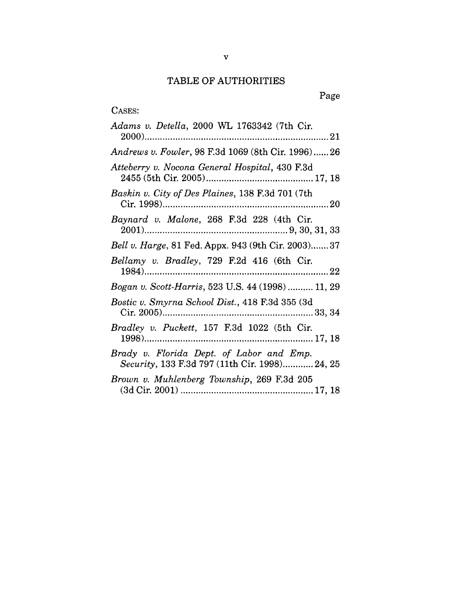# TABLE OF AUTHORITIES

| CASES:                                                                                     |
|--------------------------------------------------------------------------------------------|
| Adams v. Detella, 2000 WL 1763342 (7th Cir.                                                |
| Andrews v. Fowler, 98 F.3d 1069 (8th Cir. 1996)26                                          |
| Atteberry v. Nocona General Hospital, 430 F.3d                                             |
| Baskin v. City of Des Plaines, 138 F.3d 701 (7th                                           |
| Baynard v. Malone, 268 F.3d 228 (4th Cir.                                                  |
| Bell v. Harge, 81 Fed. Appx. 943 (9th Cir. 2003)37                                         |
| Bellamy v. Bradley, 729 F.2d 416 (6th Cir.                                                 |
| Bogan v. Scott-Harris, 523 U.S. 44 (1998)  11, 29                                          |
| Bostic v. Smyrna School Dist., 418 F.3d 355 (3d                                            |
| Bradley v. Puckett, 157 F.3d 1022 (5th Cir.                                                |
| Brady v. Florida Dept. of Labor and Emp.<br>Security, 133 F.3d 797 (11th Cir. 1998) 24, 25 |
| Brown v. Muhlenberg Township, 269 F.3d 205                                                 |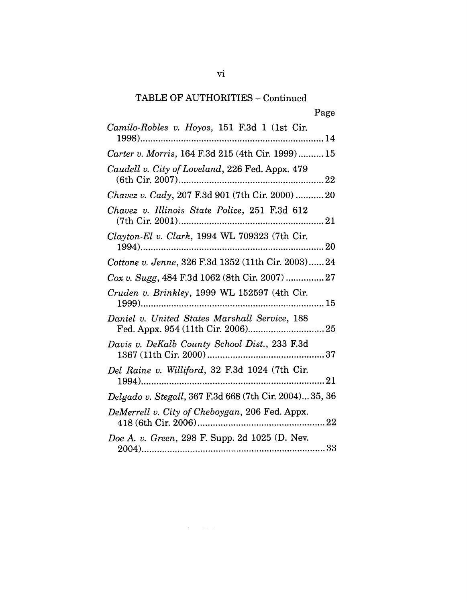| Camilo-Robles v. Hoyos, 151 F.3d 1 (1st Cir.            |
|---------------------------------------------------------|
| Carter v. Morris, 164 F.3d 215 (4th Cir. 1999)15        |
| Caudell v. City of Loveland, 226 Fed. Appx. 479         |
| Chavez v. Cady, 207 F.3d 901 (7th Cir. 2000)  20        |
| Chavez v. Illinois State Police, 251 F.3d 612           |
| Clayton-El v. Clark, 1994 WL 709323 (7th Cir.           |
| Cottone v. Jenne, 326 F.3d 1352 (11th Cir. 2003)24      |
| Cox v. Sugg, 484 F.3d 1062 (8th Cir. 2007)  27          |
| Cruden v. Brinkley, 1999 WL 152597 (4th Cir.            |
| Daniel v. United States Marshall Service, 188           |
| Davis v. DeKalb County School Dist., 233 F.3d           |
| Del Raine v. Williford, 32 F.3d 1024 (7th Cir.          |
| Delgado v. Stegall, 367 F.3d 668 (7th Cir. 2004) 35, 36 |
| DeMerrell v. City of Cheboygan, 206 Fed. Appx.          |
| Doe A. v. Green, 298 F. Supp. 2d 1025 (D. Nev.          |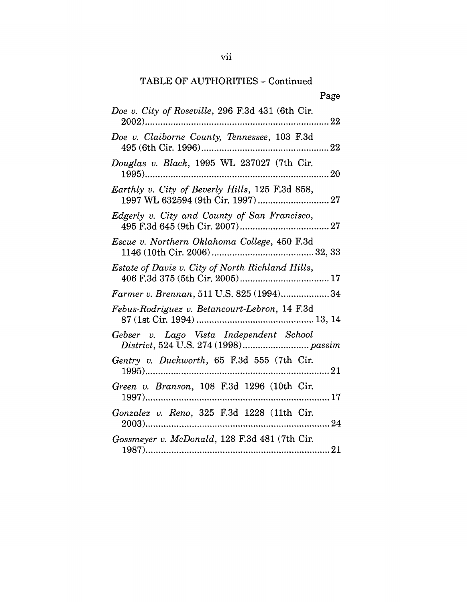| Doe v. City of Roseville, 296 F.3d 431 (6th Cir. |
|--------------------------------------------------|
| Doe v. Claiborne County, Tennessee, 103 F.3d     |
| Douglas v. Black, 1995 WL 237027 (7th Cir.       |
| Earthly v. City of Beverly Hills, 125 F.3d 858,  |
| Edgerly v. City and County of San Francisco,     |
| Escue v. Northern Oklahoma College, 450 F.3d     |
| Estate of Davis v. City of North Richland Hills, |
| Farmer v. Brennan, 511 U.S. 825 (1994)34         |
| Febus-Rodriguez v. Betancourt-Lebron, 14 F.3d    |
| Gebser v. Lago Vista Independent School          |
| Gentry v. Duckworth, 65 F.3d 555 (7th Cir.       |
| Green v. Branson, 108 F.3d 1296 (10th Cir.       |
| Gonzalez v. Reno, 325 F.3d 1228 (11th Cir.       |
| Gossmeyer v. McDonald, 128 F.3d 481 (7th Cir.    |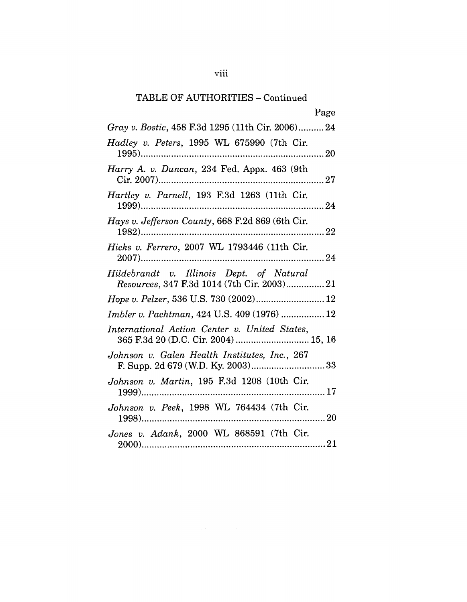# viii

|                                                                                        | Page |
|----------------------------------------------------------------------------------------|------|
| Gray v. Bostic, 458 F.3d 1295 (11th Cir. 2006) 24                                      |      |
| Hadley v. Peters, 1995 WL 675990 (7th Cir.                                             |      |
| <i>Harry A. v. Duncan</i> , 234 Fed. Appx. 463 (9th                                    |      |
| Hartley v. Parnell, 193 F.3d 1263 (11th Cir.                                           |      |
| Hays v. Jefferson County, 668 F.2d 869 (6th Cir.                                       |      |
| Hicks v. Ferrero, 2007 WL 1793446 (11th Cir.                                           |      |
| Hildebrandt v. Illinois Dept. of Natural<br>Resources, 347 F.3d 1014 (7th Cir. 2003)21 |      |
|                                                                                        |      |
| Imbler v. Pachtman, 424 U.S. 409 (1976)  12                                            |      |
| International Action Center v. United States,<br>365 F.3d 20 (D.C. Cir. 2004)  15, 16  |      |
| Johnson v. Galen Health Institutes, Inc., 267                                          |      |
| Johnson v. Martin, 195 F.3d 1208 (10th Cir.                                            |      |
| Johnson v. Peek, 1998 WL 764434 (7th Cir.                                              |      |
| Jones v. Adank, 2000 WL 868591 (7th Cir.                                               |      |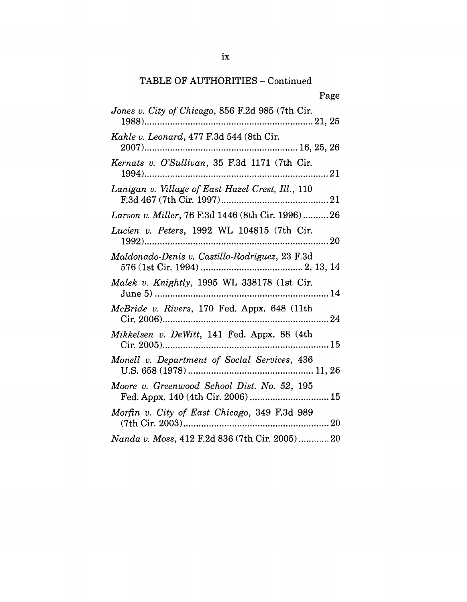| Jones v. City of Chicago, 856 F.2d 985 (7th Cir.<br>1988)                         |
|-----------------------------------------------------------------------------------|
| Kahle v. Leonard, 477 F.3d 544 (8th Cir.                                          |
| Kernats v. O'Sullivan, 35 F.3d 1171 (7th Cir.                                     |
| Lanigan v. Village of East Hazel Crest, Ill., 110                                 |
| Larson v. Miller, 76 F.3d 1446 (8th Cir. 1996)26                                  |
| Lucien v. Peters, 1992 WL 104815 (7th Cir.<br>. 20                                |
| Maldonado-Denis v. Castillo-Rodriguez, 23 F.3d                                    |
| Malek v. Knightly, 1995 WL 338178 (1st Cir.                                       |
| McBride v. Rivers, 170 Fed. Appx. 648 (11th                                       |
| Mikkelsen v. DeWitt, 141 Fed. Appx. 88 (4th                                       |
| Monell v. Department of Social Services, 436                                      |
| Moore v. Greenwood School Dist. No. 52, 195<br>Fed. Appx. 140 (4th Cir. 2006)  15 |
| Morfin v. City of East Chicago, 349 F.3d 989                                      |
| Nanda v. Moss, 412 F.2d 836 (7th Cir. 2005) 20                                    |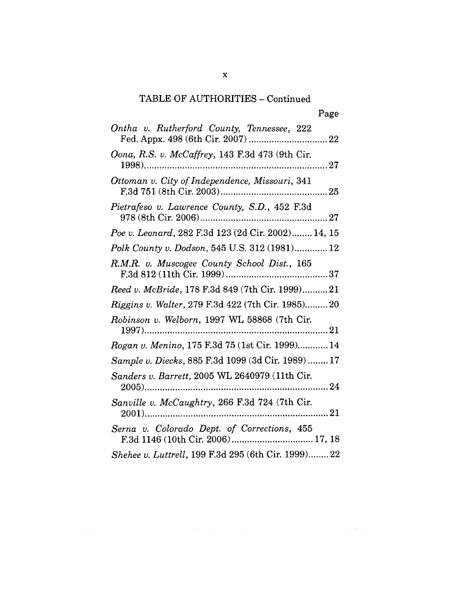| Page                                                                              |
|-----------------------------------------------------------------------------------|
| Ontha v. Rutherford County, Tennessee, 222                                        |
| Oona, R.S. v. McCaffrey, 143 F.3d 473 (9th Cir.                                   |
| Ottoman v. City of Independence, Missouri, 341                                    |
| Pietrafeso v. Lawrence County, S.D., 452 F.3d                                     |
| Poe v. Leonard, 282 F.3d 123 (2d Cir. 2002) 14, 15                                |
| Polk County v. Dodson, 545 U.S. 312 (1981) 12                                     |
| R.M.R. v. Muscogee County School Dist., 165                                       |
| Reed v. McBride, 178 F.3d 849 (7th Cir. 1999)21                                   |
| Riggins v. Walter, 279 F.3d 422 (7th Cir. 1985)20                                 |
| Robinson v. Welborn, 1997 WL 58868 (7th Cir.                                      |
| Rogan v. Menino, 175 F.3d 75 (1st Cir. 1999) 14                                   |
| Sample v. Diecks, 885 F.3d 1099 (3d Cir. 1989)  17                                |
| Sanders v. Barrett, 2005 WL 2640979 (11th Cir.                                    |
| Sanville v. McCaughtry, 266 F.3d 724 (7th Cir.                                    |
| Serna v. Colorado Dept. of Corrections, 455<br>F.3d 1146 (10th Cir. 2006)  17, 18 |
| Shehee v. Luttrell, 199 F.3d 295 (6th Cir. 1999) 22                               |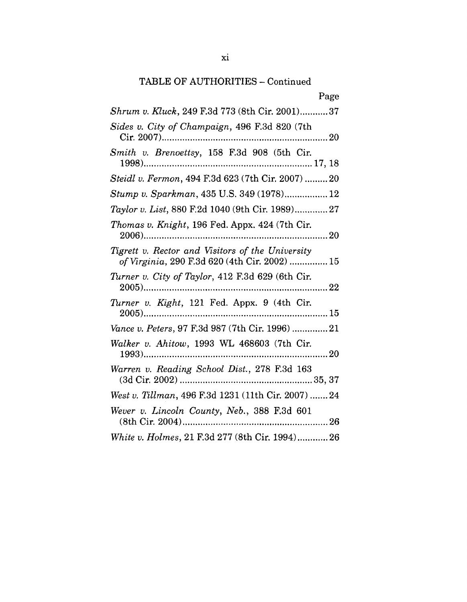| Page                                                                                              |
|---------------------------------------------------------------------------------------------------|
| Shrum v. Kluck, 249 F.3d 773 (8th Cir. 2001) 37                                                   |
| Sides v. City of Champaign, 496 F.3d 820 (7th                                                     |
| Smith v. Brenoettsy, 158 F.3d 908 (5th Cir.                                                       |
| Steidl v. Fermon, 494 F.3d 623 (7th Cir. 2007)  20                                                |
| Stump v. Sparkman, 435 U.S. 349 (1978) 12                                                         |
| Taylor v. List, 880 F.2d 1040 (9th Cir. 1989)27                                                   |
| Thomas v. Knight, 196 Fed. Appx. 424 (7th Cir.<br>20                                              |
| Tigrett v. Rector and Visitors of the University<br>of Virginia, 290 F.3d 620 (4th Cir. 2002)  15 |
| Turner v. City of Taylor, 412 F.3d 629 (6th Cir.                                                  |
| Turner v. Kight, 121 Fed. Appx. 9 (4th Cir.                                                       |
| Vance v. Peters, 97 F.3d 987 (7th Cir. 1996)  21                                                  |
| Walker v. Ahitow, 1993 WL 468603 (7th Cir.                                                        |
| Warren v. Reading School Dist., 278 F.3d 163                                                      |
| West v. Tillman, 496 F.3d 1231 (11th Cir. 2007)  24                                               |
| Wever v. Lincoln County, Neb., 388 F.3d 601                                                       |
| White v. Holmes, 21 F.3d 277 (8th Cir. 1994) 26                                                   |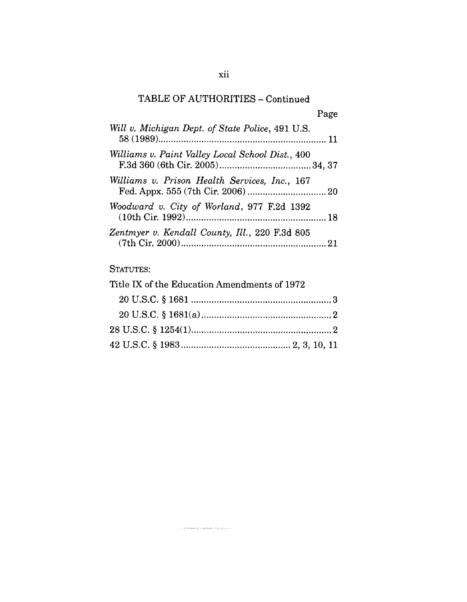|                                                  | Page |
|--------------------------------------------------|------|
| Will v. Michigan Dept. of State Police, 491 U.S. |      |
| Williams v. Paint Valley Local School Dist., 400 |      |
| Williams v. Prison Health Services, Inc., 167    |      |
| Woodward v. City of Worland, 977 F.2d 1392       |      |
| Zentmyer v. Kendall County, Ill., 220 F.3d 805   |      |

## STATUTES:

| Title IX of the Education Amendments of 1972 |  |
|----------------------------------------------|--|
|                                              |  |
|                                              |  |
|                                              |  |
|                                              |  |

 $\hat{\beta}$  is the observable  $\hat{\mathbf{y}}(h)$  and equiple  $\hat{\mathbf{x}}(h)$  for the  $\hat{\mathbf{y}}(h)$  is  $\hat{\mathbf{y}}(h)$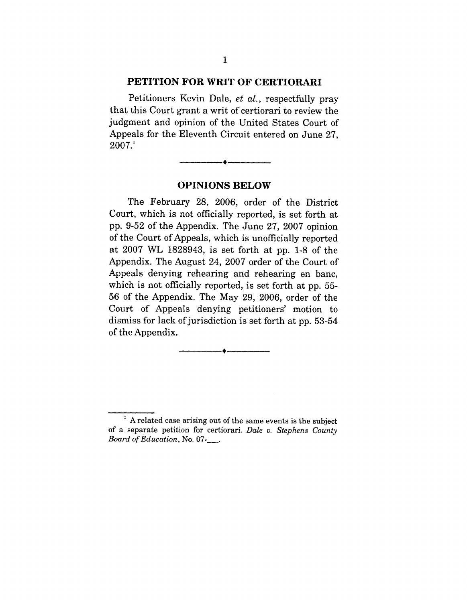#### **PETITION FOR WRIT OF CERTIORARI**

Petitioners Kevin Dale, et al., respectfully pray that this Court grant a writ of certiorari to review the judgment and opinion of the United States Court of Appeals for the Eleventh Circuit entered on June 27,  $2007.<sup>1</sup>$ 

#### **OPINIONS BELOW**

The February 28, 2006, order of the District Court, which is not officially reported, is set forth at pp. 9-52 of the Appendix. The June 27, 2007 opinion of the Court of Appeals, which is unofficially reported at 2007 WL 1828943, is set forth at pp. 1-8 of the Appendix. The August 24, 2007 order of the Court of Appeals denying rehearing and rehearing en banc, which is not officially reported, is set forth at pp. 55- 56 of the Appendix. The May 29, 2006, order of the Court of Appeals denying petitioners' motion to dismiss for lack of jurisdiction is set forth at pp. 53-54 of the Appendix.

<sup>~</sup> A related case arising out of the same events is the subject of a separate petition for certiorari. *Dale v, Stephens County Board of Education,* No. 07-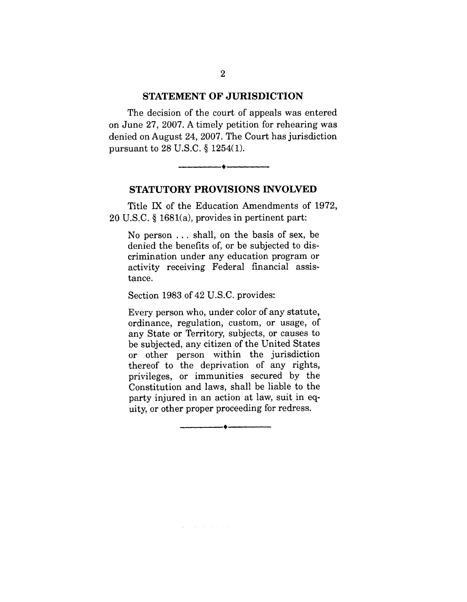#### **STATEMENT OF JURISDICTION**

The decision of the court of appeals was entered on June 27, 2007. A timely petition for rehearing was denied on August 24, 2007. The Court has jurisdiction pursuant to 28 U.S.C. § 1254(1).



#### **STATUTORY PROVISIONS INVOLVED**

Title IX of the Education Amendments of 1972, 20 U.S.C. § 1681(a), provides in pertinent part:

No person ... shall, on the basis of sex, be denied the benefits of, or be subjected to discrimination under any education program or activity receiving Federal financial assistance.

Section 1983 of 42 U.S.C. provides:

Every person who, under color of any statute, ordinance, regulation, custom, or usage, of any State or Territory, subjects, or causes to be subjected, any citizen of the United States or other person within the jurisdiction thereof to the deprivation of any rights, privileges, or immunities secured by the Constitution and laws, shall be liable to the party injured in an action at law, suit in equity, or other proper proceeding for redress.

-4-

 $\hat{\mathcal{L}}(\mathbf{z}^{\text{in}})$  and  $\hat{\mathcal{L}}(\mathbf{z}^{\text{in}})$  and  $\hat{\mathcal{L}}(\mathbf{z}^{\text{in}})$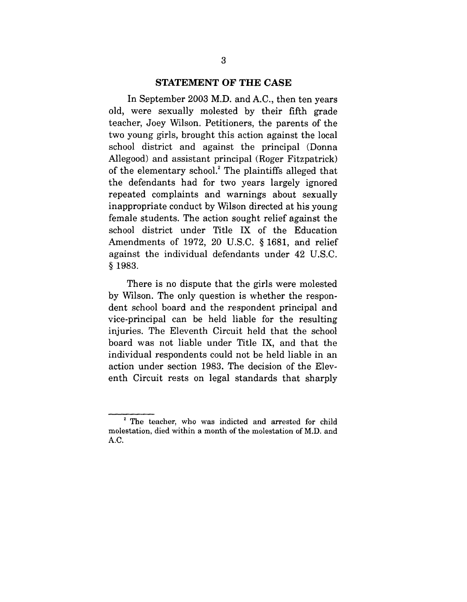#### **STATEMENT OF THE CASE**

In September 2003 M.D. and A.C., then ten years old, were sexually molested by their fifth grade teacher, Joey Wilson. Petitioners, the parents of the two young girls, brought this action against the local school district and against the principal (Donna Allegood) and assistant principal (Roger Fitzpatrick) of the elementary school.2 The plaintiffs alleged that the defendants had for two years largely ignored repeated complaints and warnings about sexually inappropriate conduct by Wilson directed at his young female students. The action sought relief against the school district under Title IX of the Education Amendments of 1972, 20 U.S.C. § 1681, and relief against the individual defendants under 42 U.S.C. § 1983.

There is no dispute that the girls were molested by Wilson. The only question is whether the respondent school board and the respondent principal and vice-principal can be held liable for the resulting injuries. The Eleventh Circuit held that the school board was not liable under Title IX, and that the individual respondents could not be held liable in an action under section 1983. The decision of the Eleventh Circuit rests on legal standards that sharply

<sup>&</sup>lt;sup>2</sup> The teacher, who was indicted and arrested for child molestation, died within a month of the molestation of M.D. and A.C.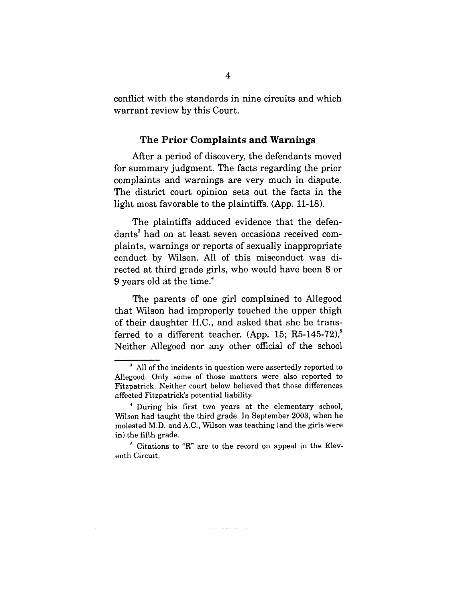conflict with the standards in nine circuits and which warrant review by this Court.

#### **The Prior Complaints and Warnings**

After a period of discovery, the defendants moved for summary judgment. The facts regarding the prior complaints and warnings are very much in dispute. The district court opinion sets out the facts in the light most favorable to the plaintiffs. (App. 11-18).

The plaintiffs adduced evidence that the defendants<sup>3</sup> had on at least seven occasions received complaints, warnings or reports of sexually inappropriate conduct by Wilson. All of this misconduct was directed at third grade girls, who would have been 8 or 9 years old at the time.4

The parents of one girl complained to Allegood that Wilson had improperly touched the upper thigh of their daughter H.C., and asked that she be transferred to a different teacher. (App. 15; R5-145-72). Neither Allegood nor any other official of the school

 $<sup>3</sup>$  All of the incidents in question were assertedly reported to</sup> Allegood. Only some of those matters were also reported to Fitzpatrick. Neither court below believed that those differences affected Fitzpatrick's potential liability.

<sup>4</sup> During his first two years at the elementary school, Wilson had taught the third grade. In September 2003, when he molested M.D. and A.C., Wilson was teaching (and the girls were in) the fifth grade.

<sup>5</sup> Citations to *"R"* are to the record on appeal in the Eleventh Circuit.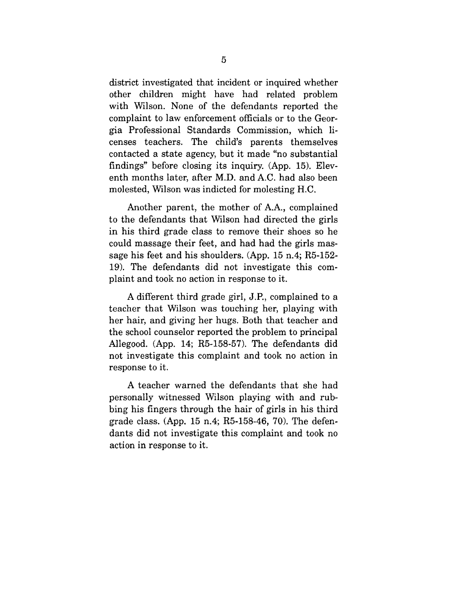district investigated that incident or inquired whether other children might have had related problem with Wilson. None of the defendants reported the complaint to law enforcement officials or to the Georgia Professional Standards Commission, which licenses teachers. The child's parents themselves contacted a state agency, but it made "no substantial findings" before closing its inquiry. (App. 15). Eleventh months later, after M.D. and A.C. had also been molested, Wilson was indicted for molesting H.C.

Another parent, the mother of A.A., complained to the defendants that Wilson had directed the girls in his third grade class to remove their shoes so he could massage their feet, and had had the girls massage his feet and his shoulders. (App. 15 n.4; R5-152- 19). The defendants did not investigate this complaint and took no action in response to it.

A different third grade girl, J.P., complained to a teacher that Wilson was touching her, playing with her hair, and giving her hugs. Both that teacher and the school counselor reported the problem to principal Allegood. (App. 14; R5-158-57). The defendants did not investigate this complaint and took no action in response to it.

A teacher warned the defendants that she had personally witnessed Wilson playing with and rubbing his fingers through the hair of girls in his third grade class. (App. 15 n.4; R5-158-46, 70). The defendants did not investigate this complaint and took no action in response to it.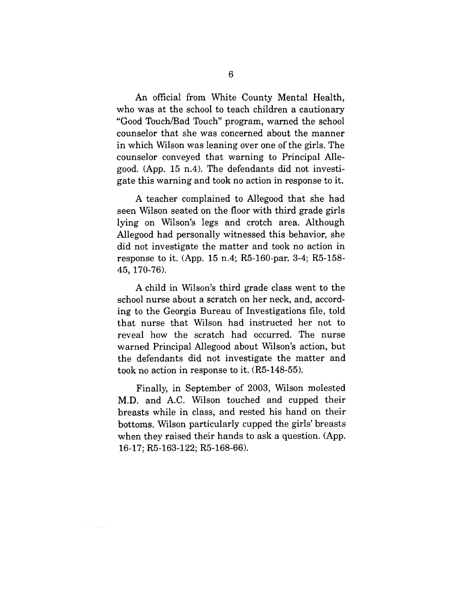An official from White County Mental Health, who was at the school to teach children a cautionary "Good Touch/Bad Touch" program, warned the school counselor that she was concerned about the manner in which Wilson was leaning over one of the girls. The counselor conveyed that warning to Principal Allegood. (App. 15 n.4). The defendants did not investigate this warning and took no action in response to it.

A teacher complained to Allegood that she had seen Wilson seated on the floor with third grade girls lying on Wilson's legs and crotch area. Although Allegood had personally witnessed this behavior, she did not investigate the matter and took no action in response to it. (App. 15 n.4; R5-160-par. 3-4; R5-158- 45, 170-76).

A child in Wilson's third grade class went to the school nurse about a scratch on her neck, and, according to the Georgia Bureau of Investigations file, told that nurse that Wilson had instructed her not to reveal how the scratch had occurred. The nurse warned Principal Allegood about Wilson's action, but the defendants did not investigate the matter and took no action in response to it. (R5-148-55).

Finally, in September of 2003, Wilson molested M.D. and A.C. Wilson touched and cupped their breasts while in class, and rested his hand on their bottoms. Wilson particularly cupped the girls' breasts when they raised their hands to ask a question. (App. 16-17; R5-163-122; R5-168-66).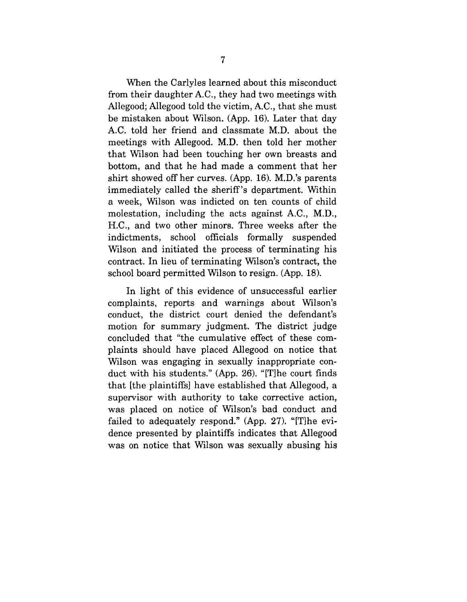When the Carlyles learned about this misconduct from their daughter A.C., they had two meetings with Allegood; Allegood told the victim, A.C., that she must be mistaken about Wilson. (App. 16). Later that day A.C. told her friend and classmate M.D. about the meetings with Allegood. M.D. then told her mother that Wilson had been touching her own breasts and bottom, and that he had made a comment that her shirt showed off her curves. (App. 16). M.D.'s parents immediately called the sheriff's department. Within a week, Wilson was indicted on ten counts of child molestation, including the acts against A.C., M.D., H.C., and two other minors. Three weeks after the indictments, school officials formally suspended Wilson and initiated the process of terminating his contract. In lieu of terminating Wilson's contract, the school board permitted Wilson to resign. (App. 18).

In light of this evidence of unsuccessful earlier complaints, reports and warnings about Wilson's conduct, the district court denied the defendant's motion for summary judgment. The district judge concluded that "the cumulative effect of these complaints should have placed Allegood on notice that Wilson was engaging in sexually inappropriate conduct with his students." (App. 26). "[T]he court finds that [the plaintiffs] have established that Allegood, a supervisor with authority to take corrective action, was placed on notice of Wilson's bad conduct and failed to adequately respond." (App. 27). "[T]he evidence presented by plaintiffs indicates that Allegood was on notice that Wilson was sexually abusing his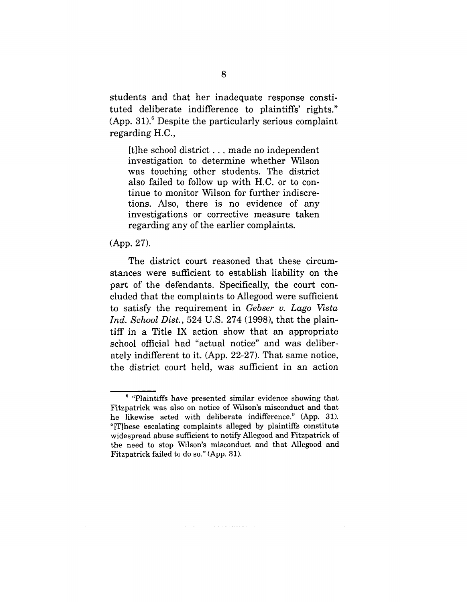students and that her inadequate response constituted deliberate indifference to plaintiffs' rights."  $(App. 31)$ .<sup>6</sup> Despite the particularly serious complaint regarding H.C.,

It]he school district.., made no independent investigation to determine whether Wilson was touching other students. The district also failed to follow up with H.C. or to continue to monitor Wilson for further indiscretions. Also, there is no evidence of any investigations or corrective measure taken regarding any of the earlier complaints.

#### (App. 27).

The district court reasoned that these circumstances were sufficient to establish liability on the part of the defendants. Specifically, the court concluded that the complaints to Allegood were sufficient to satisfy the requirement in *Gebser v. Lago Vista Ind. School Dist.,* 524 U.S. 274 (1998), that the plaintiff in a Title IX action show that an appropriate school official had "actual notice" and was deliberately indifferent to it. (App. 22-27). That same notice, the district court held, was sufficient in an action

<sup>&</sup>lt;sup>6</sup> "Plaintiffs have presented similar evidence showing that Fitzpatrick was also on notice of Wilson's misconduct and that he likewise acted with deliberate indifference." (App. 31). "[T]hese escalating complaints alleged by plaintiffs constitute widespread abuse sufficient to notify Allegood and Fitzpatrick of the need to stop Wilson's misconduct and that Allegood and Fitzpatrick failed to do so." (App. 31).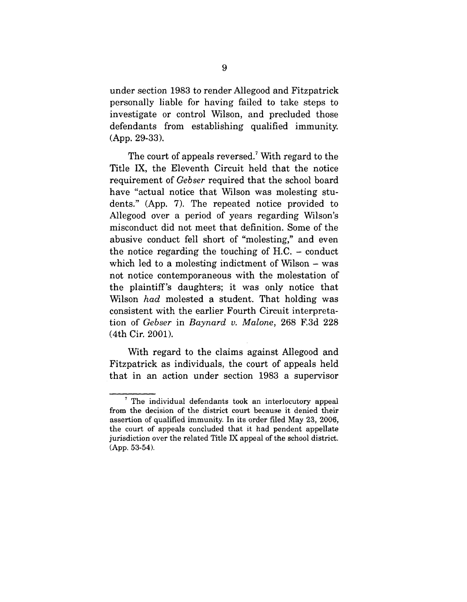under section 1983 to render Allegood and Fitzpatrick personally liable for having failed to take steps to investigate or control Wilson, and precluded those defendants from establishing qualified immunity. (App. 29-33).

The court of appeals reversed.<sup>7</sup> With regard to the Title IX, the Eleventh Circuit held that the notice requirement of *Gebser* required that the school board have "actual notice that Wilson was molesting students." (App. 7). The repeated notice provided to Allegood over a period of years regarding Wilson's misconduct did not meet that definition. Some of the abusive conduct fell short of "molesting," and even the notice regarding the touching of  $H.C.$  – conduct which led to a molesting indictment of Wilson - was not notice contemporaneous with the molestation of the plaintiff's daughters; it was only notice that Wilson *had* molested a student. That holding was consistent with the earlier Fourth Circuit interpretation of *Gebser* in *Baynard v. Malone,* 268 F.3d 228 (4th Cir. 2001).

With regard to the claims against Allegood and Fitzpatrick as individuals, the court of appeals held that in an action under section 1983 a supervisor

<sup>7</sup> The individual defendants took an interlocutory appeal from the decision of the district court because it denied their assertion of qualified immunity. In its order filed May 23, 2006, the court of appeals concluded that it had pendent appellate jurisdiction over the related Title IX appeal of the school district. (App. 53-54).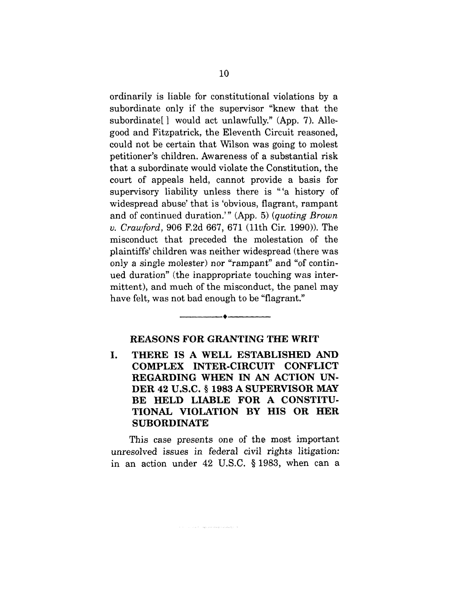ordinarily is liable for constitutional violations by a subordinate only if the supervisor "knew that the subordinate[] would act unlawfully." (App. 7). Allegood and Fitzpatrick, the Eleventh Circuit reasoned, could not be certain that Wilson was going to molest petitioner's children. Awareness of a substantial risk that a subordinate would violate the Constitution, the court of appeals held, cannot provide a basis for supervisory liability unless there is "'a history of widespread abuse' that is 'obvious, flagrant, rampant and of continued duration.'" (App, 5) *(quoting Brown v. Crawford,* 906 F.2d 667, 671 (11th Cir. 1990)). The misconduct that preceded the molestation of the plaintiffs' children was neither widespread (there was only a single molester) nor "rampant" and "of continued duration" (the inappropriate touching was intermittent), and much of the misconduct, the panel may have felt, was not bad enough to be "flagrant."

#### **REASONS FOR GRANTING THE WRIT**

**I. THERE IS A WELL ESTABLISHED AND COMPLEX INTER-CIRCUIT CONFLICT REGARDING WHEN IN AN ACTION UN-DER 42 U.S.C. § 1983 A SUPERVISOR MAY BE HELD LIABLE FOR A CONSTITU-TIONAL VIOLATION BY HIS OR HER SUBORDINATE**

This case presents one of the most important unresolved issues in federal civil rights litigation: **in an action under 42 U.S.C. § 1983, when can a**

.<br>The contract of the second contract concerns and concerns and the second contract of the second contract of th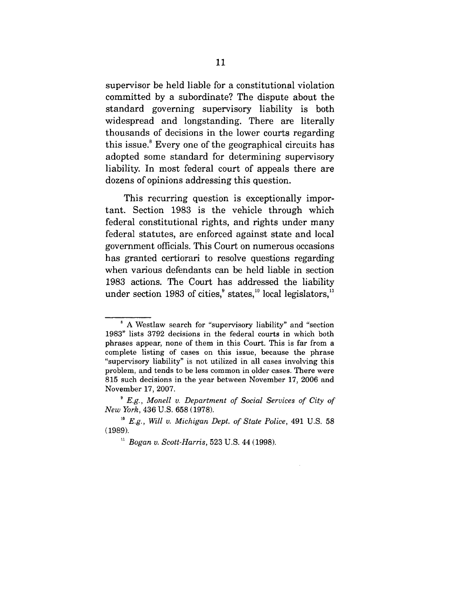supervisor be held liable for a constitutional violation committed by a subordinate? The dispute about the standard governing supervisory liability is both widespread and longstanding. There are literally thousands of decisions in the lower courts regarding this issue.<sup>8</sup> Every one of the geographical circuits has adopted some standard for determining supervisory liability. In most federal court of appeals there are dozens of opinions addressing this question.

This recurring question is exceptionally important. Section 1983 is the vehicle through which federal constitutional rights, and rights under many federal statutes, are enforced against state and local government officials. This Court on numerous occasions has granted certiorari to resolve questions regarding when various defendants can be held liable in section 1983 actions. The Court has addressed the liability under section 1983 of cities, $\degree$  states, $\degree$  local legislators, $\degree$ 

<sup>8</sup> A Westlaw search for "supervisory liability" and "section 1983" lists 3792 decisions in the federal courts in which both phrases appear, none of them in this Court. This is far from a complete listing of cases on this issue, because the phrase "supervisory liability" is not utilized in all cases involving this problem, and tends to be less common in older cases. There were 815 such decisions in the year between November 17, 2006 and November 17, 2007.

*<sup>9</sup> E.g., Monell v. Department of Social Services of City of New York,* 436 U.S. 658 (1978).

*<sup>~</sup>o E.g., Will v. Michigan Dept. of State Police,* 491 U.S. 58 (1989).

*<sup>~</sup> Bogan v. Scott-Harris,* 523 U.S. 44 (1998).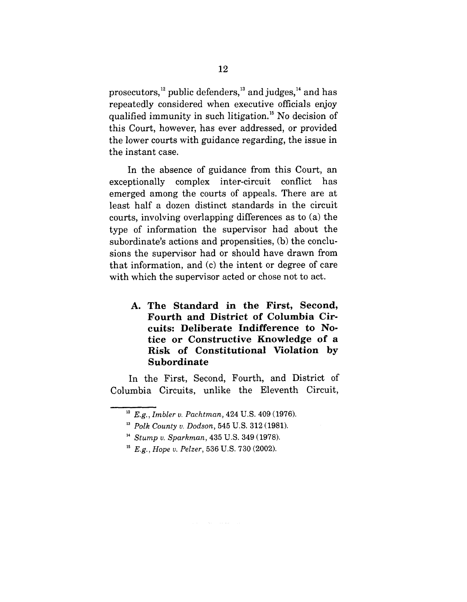prosecutors,<sup>12</sup> public defenders,<sup>13</sup> and judges,<sup>14</sup> and has repeatedly considered when executive officials enjoy qualified immunity in such litigation.<sup>15</sup> No decision of this Court, however, has ever addressed, or provided the lower courts with guidance regarding, the issue in the instant case.

In the absence of guidance from this Court, an exceptionally complex inter-circuit conflict has emerged among the courts of appeals. There are at least half a dozen distinct standards in the circuit courts, involving overlapping differences as to (a) the type of information the supervisor had about the subordinate's actions and propensities, (b) the conclusions the supervisor had or should have drawn from that information, and (c) the intent or degree of care with which the supervisor acted or chose not to act.

**A. The Standard in the First, Second, Fourth and District of Columbia Circuits: Deliberate Indifference to Notice or Constructive Knowledge of a Risk of Constitutional Violation by Subordinate**

**In the First, Second, Fourth, and District of Columbia Circuits, unlike the Eleventh Circuit,**

*E.g., Imbler v. Pachtman,* 424 U.S. 409 (1976).

*Polk County v. Dodson,* 545 U.S. 312 (1981).

*Stump v. Sparkman,* 435 U.S. 349 (1978).

*E.g., Hope v. Pelzer,* 536 U.S. 730 (2002).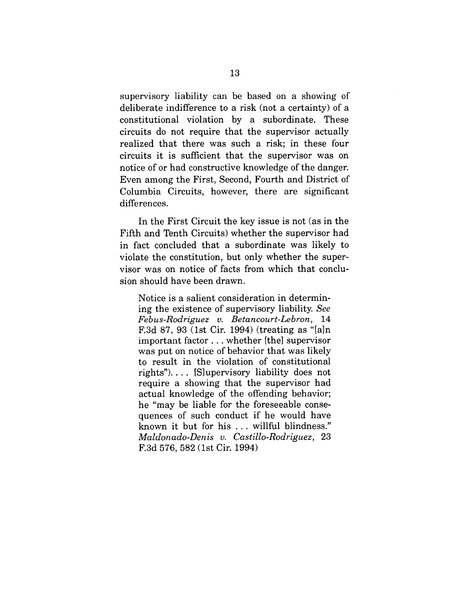supervisory liability can be based on a showing of deliberate indifference to a risk (not a certainty) of a constitutional violation by a subordinate. These circuits do not require that the supervisor actually realized that there was such a risk; in these four circuits it is sufficient that the supervisor was on notice of or had constructive knowledge of the danger. Even among the First, Second, Fourth and District of Columbia Circuits, however, there are significant differences.

In the First Circuit the key issue is not (as in the Fifth and Tenth Circuits) whether the supervisor had in fact concluded that a subordinate was likely to violate the constitution, but only whether the supervisor was on notice of facts from which that conclusion should have been drawn.

Notice is a salient consideration in determining the existence of supervisory liability. *See Febus-Rodriguez v. Betancourt-Lebron,* 14 F.3d 87, 93 (lst Cir. 1994) (treating as "[a]n important factor.., whether [the] supervisor was put on notice of behavior that was likely to result in the violation of constitutional rights").... [S]upervisory liability does not require a showing that the supervisor had actual knowledge of the offending behavior; he "may be liable for the foreseeable consequences of such conduct if he would have known it but for his ... willful blindness." *Maldonado-Denis v. Castillo-Rodriguez,* 23 F.3d 576, 582 (lst Cir. 1994)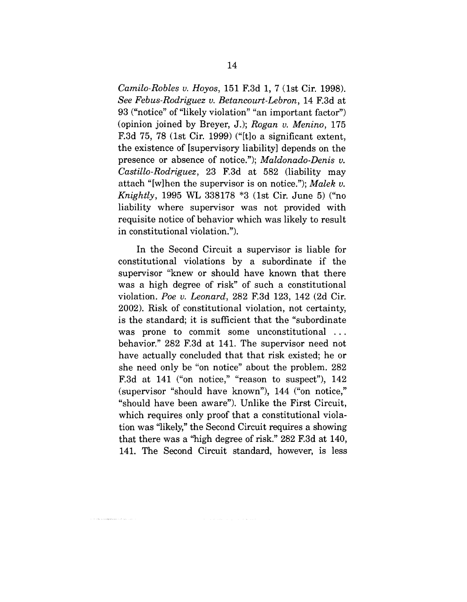*Camilo-Robles v. Hoyos,* 151 F.3d 1, 7 (1st Cir. 1998). *See Febus-Rodriguez v. Betancourt-Lebron,* 14 F.3d at 93 ("notice" of "likely violation" "an important factor") (opinion joined by Breyer, J.); *Rogan v. Menino,* 175 F.3d 75, 78 (lst Cir. 1999) ("[t]o a significant extent, the existence of [supervisory liability] depends on the presence or absence of notice."); *Maldonado-Denis v. Castillo-Rodriguez,* 23 F.3d at 582 (liability may attach "[w]hen the supervisor is on notice."); *Malek v. Knightly,* 1995 WL 338178 \*3 (lst Cir. June 5) ("no liability where supervisor was not provided with requisite notice of behavior which was likely to result in constitutional violation.").

In the Second Circuit a supervisor is liable for constitutional violations by a subordinate if the supervisor "knew or should have known that there was a high degree of risk" of such a constitutional violation. *Poe v. Leonard,* 282 F.3d 123, 142 (2d Cir. 2002). Risk of constitutional violation, not certainty, is the standard; it is sufficient that the "subordinate was prone to commit some unconstitutional ... behavior." 282 F.3d at 141. The supervisor need not have actually concluded that that risk existed; he or she need only be "on notice" about the problem. 282 F.3d at 141 ("on notice," "reason to suspect"), 142 (supervisor "should have known"), 144 ("on notice," "should have been aware"). Unlike the First Circuit, which requires only proof that a constitutional violation was "likely," the Second Circuit requires a showing that there was a "high degree of risk." 282 F.3d at 140, 141. The Second Circuit standard, however, is less

so a concerta a provincia da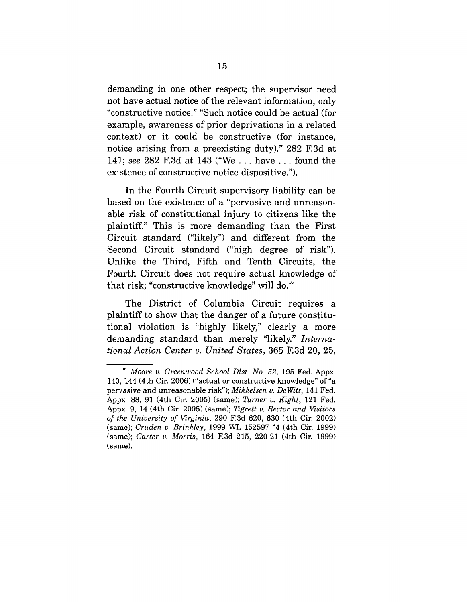demanding in one other respect; the supervisor need not have actual notice of the relevant information, only "constructive notice." "Such notice could be actual (for example, awareness of prior deprivations in a related context) or it could be constructive (for instance, notice arising from a preexisting duty)." 282 F.3d at 141; *see* 282 F.3d at 143 ("We ... have ... found the existence of constructive notice dispositive.').

In the Fourth Circuit supervisory liability can be based on the existence of a "pervasive and unreasonable risk of constitutional injury to citizens like the plaintiff." This is more demanding than the First Circuit standard ("likely") and different from the Second Circuit standard ("high degree of risk"). Unlike the Third, Fifth and Tenth Circuits, the Fourth Circuit does not require actual knowledge of that risk; "constructive knowledge" will do. $^{16}$ 

The District of Columbia Circuit requires a plaintiff to show that the danger of a future constitutional violation is "highly likely," clearly a more demanding standard than merely "likely." *International Action Center v. United States,* 365 F.3d 20, 25,

*<sup>16</sup> Moore v. Greenwood School Dist. No. 52,* 195 Fed. Appx. 140, 144 (4th Cir. 2006) ("actual or constructive knowledge" of"a pervasive and unreasonable risk"); *Mikkelsen v. DeWitt,* 141 Fed. Appx. 88, 91 (4th Cir. 2005) (same); *Turner v. Kight,* 121 Fed. Appx. 9, 14 (4th Cir. 2005) (same); *Tigrett v. Rector and Visitors of the University of Virginia,* 290 F.3d 620, 630 (4th Cir. 2002) (same); *Cruden v. Brinkley,* 1999 WL 152597 \*4 (4th Cir. 1999) (same); *Carter v. Morris,* 164 F.3d 215, 220-21 (4th Cir. 1999) (same).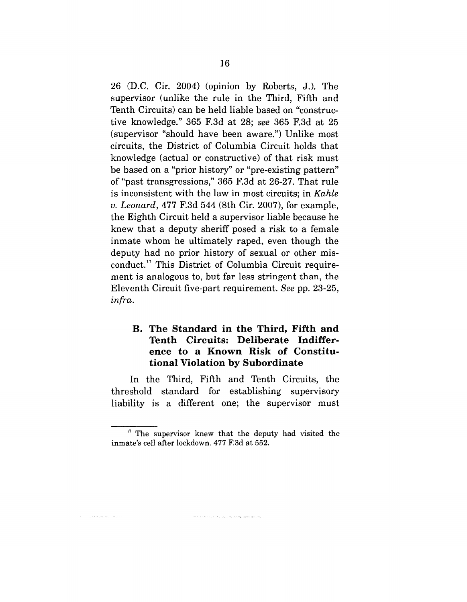26 (D.C. Cir. 2004) (opinion by Roberts, J.). The supervisor (unlike the rule in the Third, Fifth and Tenth Circuits) can be held liable based on "constructive knowledge." 365 F.3d at 28; *see* 365 F.3d at 25 (supervisor "should have been aware.") Unlike most circuits, the District of Columbia Circuit holds that knowledge (actual or constructive) of that risk must be based on a "prior history" or "pre-existing pattern" of "past transgressions," 365 F.3d at 26-27. That rule is inconsistent with the law in most circuits; in *Kahle v. Leonard,* 477 F.3d 544 (8th Cir. 2007), for example, the Eighth Circuit held a supervisor liable because he knew that a deputy sheriff posed a risk to a female inmate whom he ultimately raped, even though the deputy had no prior history of sexual or other misconduct.17 This District of Columbia Circuit requirement is analogous to, but far less stringent than, the Eleventh Circuit five-part requirement. *See* pp. 23-25, *infra.*

## **B. The Standard in the Third, Fifth and Tenth Circuits: Deliberate Indifference to a Known Risk of Constitutional Violation by Subordinate**

**In the Third, Fifth and Tenth Circuits, the threshold standard for establishing supervisory liability is a different one; the supervisor must**

control of the program of the control program and con-

 $\label{eq:1} \gamma_{\rm{out}} + \rho_{\rm{out}} \geq \rho_{\rm{out}} \log \rho_{\rm{in}} \leq \rho_{\rm{out}}$ 

 $<sup>17</sup>$  The supervisor knew that the deputy had visited the</sup> inmate's cell after lockdown. 477 F.3d at 552.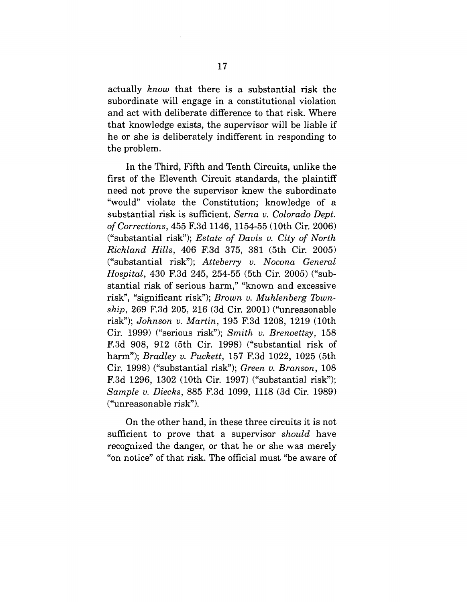actually *know* that there is a substantial risk the subordinate will engage in a constitutional violation and act with deliberate difference to that risk. Where that knowledge exists, the supervisor will be liable if he or she is deliberately indifferent in responding to the problem.

In the Third, Fifth and Tenth Circuits, unlike the first of the Eleventh Circuit standards, the plaintiff need not prove the supervisor knew the subordinate "would" violate the Constitution; knowledge of a substantial risk is sufficient. *Serna v. Colorado Dept. of Corrections,* 455 F.3d 1146, 1154-55 (10th Cir. 2006) ("substantial risk"); *Estate of Davis v. City of North Richland Hills,* 406 F.3d 375, 381 (5th Cir. 2005) ("substantial risk"); *Atteberry v. Nocona General Hospital,* 430 F.3d 245, 254-55 (5th Cir. 2005) ("substantial risk of serious harm," "known and excessive risk", "significant risk"); *Brown v. Muhlenberg Township,* 269 F.3d 205, 216 (3d Cir. 2001) ("unreasonable risk"); *Johnson v. Martin,* 195 F.3d 1208, 1219 (10th Cir. 1999) ("serious risk"); *Smith v. Brenoettsy,* 158 F.3d 908, 912 (5th Cir. 1998) ("substantial risk of harm"); *Bradley v. Puckett,* 157 F.3d 1022, 1025 (5th Cir. 1998) ("substantial risk"); *Green v. Branson,* 108 F.3d 1296, 1302 (10th Cir. 1997) ("substantial risk"); *Sample v. Diecks,* 885 F.3d 1099, 1118 (3d Cir. 1989) ("unreasonable risk").

On the other hand, in these three circuits it is not sufficient to prove that a supervisor *should* have recognized the danger, or that he or she was merely "on notice" of that risk. The official must "be aware of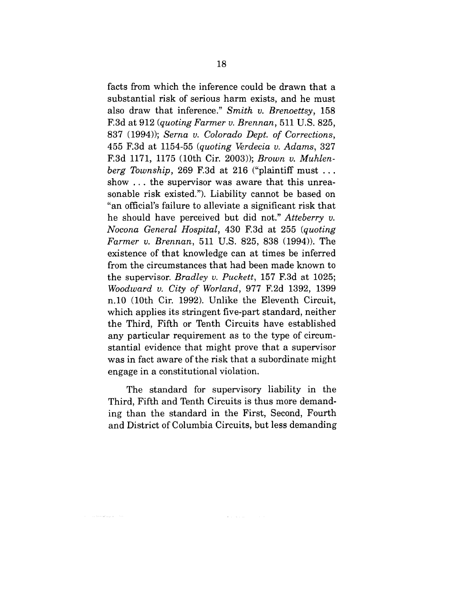facts from which the inference could be drawn that a substantial risk of serious harm exists, and he must also draw that inference." *Smith v. Brenoettsy,* 158 F.3d at 912 *(quoting Farmer v. Brennan,* 511 U.S. 825, 837 (1994)); *Serna v. Colorado Dept. of Corrections,* 455 F.3d at 1154-55 *(quoting Verdecia v. Adams,* 327 F.3d 1171, 1175 (10th Cir. 2003)); *Brown v. Muhlenberg Township,* 269 F.3d at 216 ("plaintiff must ... show ... the supervisor was aware that this unreasonable risk existed."). Liability cannot be based on "an official's failure to alleviate a significant risk that he should have perceived but did not." *Atteberry v. Nocona General Hospital,* 430 F.3d at 255 *(quoting Farmer v. Brennan,* 511 U.S. 825, 838 (1994)). The existence of that knowledge can at times be inferred from the circumstances that had been made known to the supervisor. *Bradley v. Puckett,* 157 F.3d at 1025; *Woodward v. City of Worland,* 977 F.2d 1392, 1399 n.10 (10th Cir. 1992). Unlike the Eleventh Circuit, which applies its stringent five-part standard, neither the Third, Fifth or Tenth Circuits have established any particular requirement as to the type of circumstantial evidence that might prove that a supervisor was in fact aware of the risk that a subordinate might engage in a constitutional violation.

The standard for supervisory liability in the Third, Fifth and Tenth Circuits is thus more demanding than the standard in the First, Second, Fourth and District of Columbia Circuits, but less demanding

 $\mathbf{z}$  ,  $\mathbf{z}$  ,  $\mathbf{z}$  ,  $\mathbf{z}$  ,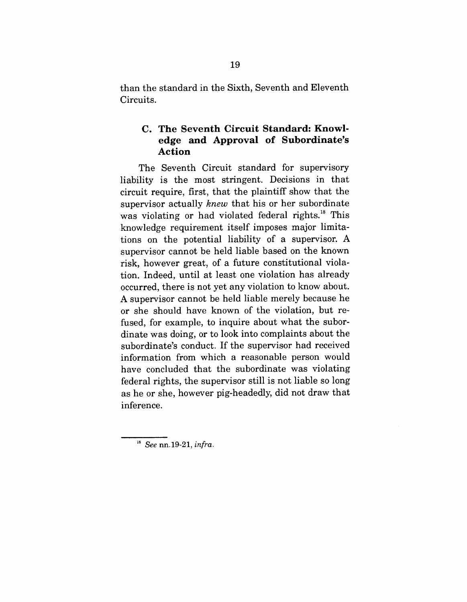than the standard in the Sixth, Seventh and Eleventh Circuits.

## Co **The Seventh Circuit Standard: Knowledge and Approval of Subordinate's Action**

The Seventh Circuit standard for supervisory liability is the most stringent. Decisions in that circuit require, first, that the plaintiff show that the supervisor actually *knew* that his or her subordinate was violating or had violated federal rights.<sup>18</sup> This knowledge requirement itself imposes major limitations on the potential liability of a supervisor. A supervisor cannot be held liable based on the known risk, however great, of a future constitutional violation. Indeed, until at least one violation has already occurred, there is not yet any violation to know about. A supervisor cannot be held liable merely because he or she should have known of the violation, but refused, for example, to inquire about what the subordinate was doing, or to look into complaints about the subordinate's conduct. If the supervisor had received information from which a reasonable person would have concluded that the subordinate was violating federal rights, the supervisor still is not liable so long as he or she, however pig-headedly, did not draw that inference.

*See* nn.19-21, *infra.*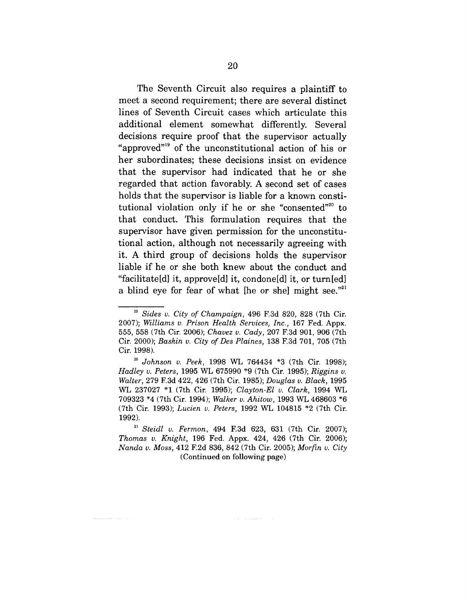The Seventh Circuit also requires a plaintiff to meet a second requirement; there are several distinct lines of Seventh Circuit cases which articulate this additional element somewhat differently. Several decisions require proof that the supervisor actually "approved''19 of the unconstitutional action of his or her subordinates; these decisions insist on evidence that the supervisor had indicated that he or she regarded that action favorably. A second set of cases holds that the supervisor is liable for a known constitutional violation only if he or she "consented"<sup>20</sup> to that conduct. This formulation requires that the supervisor have given permission for the unconstitutional action, although not necessarily agreeing with it. A third group of decisions holds the supervisor liable if he or she both knew about the conduct and "facilitate[d] it, approve[d] it, condone[d] it, or turn[ed] a blind eye for fear of what [he or she] might see."<sup>21</sup>

*<sup>19</sup> Sides v. City of Champaign,* 496 F.3d 820, 828 (7th Cir. 2007); *Williams v. Prison Health Services, Inc.,* 167 Fed. Appx. 555, 558 (7th Cir. 2006); *Chavez v. Cady,* 207 F.3d 901, 906 (7th Cir. 2000); *Baskin v. City of Des Plaines,* 138 F.3d 701, 705 (7th Cir. 1998).

*<sup>2</sup>o Johnson v. Peek,* 1998 WL 764434 \*3 (7th Cir. 1998); *Hadley v. Peters,* 1995 WL 675990 \*9 (7th Cir. 1995); *Riggins v. Walter,* 279 F.3d 422, 426 (7th Cir. 1985); *Douglas v. Black,* 1995 WL 237027 \*1 (7th Cir. 1995); *Clayton-El v. Clark,* 1994 WL 709323 \*4 (7th Cir. 1994); *Walker v. Ahitow,* 1993 WL 468603 \*6 (7th Cir. 1993); *Lucien v. Peters,* 1992 WL 104815 \*2 (7th Cir. 1992).

*<sup>~</sup> Steidl v. Fermon,* 494 F.3d 623, 631 (7th Cir. 2007); *Thomas v. Knight,* 196 Fed. Appx. 424, 426 (7th Cir. 2006); *Nanda v. Moss,* 412 F.2d 836, 842 (7th Cir. 2005); *Morfin v. City* (Continued on following page)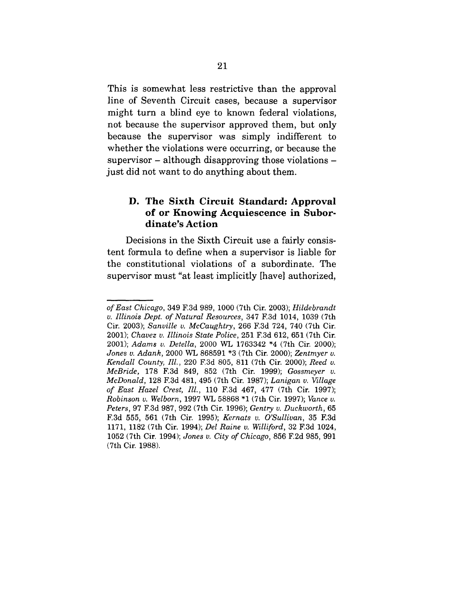This is somewhat less restrictive than the approval line of Seventh Circuit cases, because a supervisor might turn a blind eye to known federal violations, not because the supervisor approved them, but only because the supervisor was simply indifferent to whether the violations were occurring, or because the  $supervisor - although display$ just did not want to do anything about them.

## **D. The Sixth Circuit Standard: Approval of or Knowing Acquiescence in Subordinate's Action**

Decisions in the Sixth Circuit use a fairly consistent formula to define when a supervisor is liable for the constitutional violations of a subordinate. The supervisor must *"at* least implicitly [have] authorized,

*of East Chicago,* 349 F.3d 989, 1000 (7th Cir. 2003); *Hildebrandt v. Illinois Dept. of Natural Resources,* 347 F.3d 1014, 1039 (7th Cir. 2003); *Sanville v. McCaughtry,* 266 F.3d 724, 740 (7th Cir. 2001); *Chavez v. Illinois State Police,* 251 F.3d 612, 651 (7th Cir. 2001); *Adams v. Detella,* 2000 WL 1763342 \*4 (7th Cir. 2000); *Jones v. Adank,* 2000 WL 868591 \*3 (7th Cir. 2000); *Zentmyer v. Kendall County, Ill.,* 220 F.3d 805, 811 (7th Cir. 2000); *Reed v. McBride,* 178 F.3d 849, 852 (7th Cir. 1999); *Gossmeyer v. McDonald,* 128 F.3d 481, 495 (7th Cir. 1987); *Lanigan v. Village of East Hazel Crest, Ill.,* 110 F.3d 467, 477 (7th Cir. 1997); *Robinson v. Welborn,* 1997 WL 58868 \*1 (7th Cir. 1997); *Vance v. Peters,* 97 F.3d 987,992 (7th Cir. 1996); *Gentry v. Duckworth,* 65 F.3d 555, 561 (7th Cir. 1995); *Kernats v. O'Sullivan,* 35 F.3d 1171, 1182 (7th Cir. 1994); *Del Raine v. Williford,* 32 F.3d 1024, 1052 (7th Cir. 1994); *Jones v. City of Chicago,* 856 F.2d 985, 991 (7th Cir. 1988).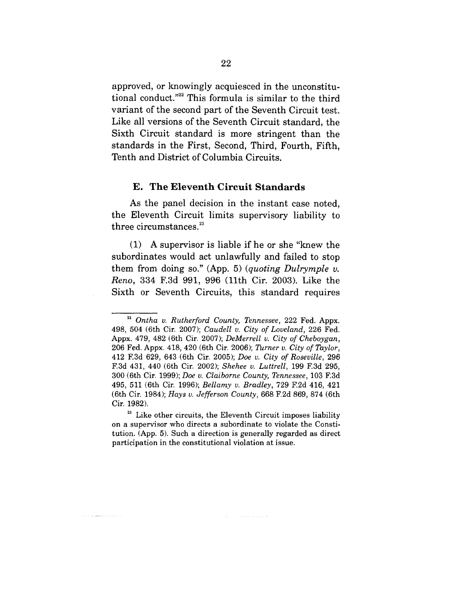approved, or knowingly acquiesced in the unconstitutional conduct."<sup>22</sup> This formula is similar to the third variant of the second part of the Seventh Circuit test. Like all versions of the Seventh Circuit standard, the Sixth Circuit standard is more stringent than the standards in the First, Second, Third, Fourth, Fifth, Tenth and District of Columbia Circuits.

#### **E. The Eleventh Circuit Standards**

As the panel decision in the instant case noted, the Eleventh Circuit limits supervisory liability to three circumstances.<sup>23</sup>

(1) A supervisor is liable if he or she "knew the subordinates would act unlawfully and failed to stop them from doing so." (App. 5) *(quoting Dulrymple v. Reno,* 334 F.3d 991, 996 (llth Cir. 2003). Like the Sixth or Seventh Circuits, this standard requires

 $\hat{c} = -\hat{c} \hat{c} \hat{c} \hat{c} + \hat{c} \hat{c} \hat{c} \hat{c} + \hat{c} \hat{c} \hat{c} \hat{c}$ 

*<sup>2~</sup> Ontha v. Rutherford County, Tennessee,* 222 Fed. Appx. 498, 504 (6th Cir. 2007); *Caudell v. City of Loveland,* 226 Fed. Appx. 479, 482 (6th Cir. 2007); *DeMerrell v. City of Cheboygan,* 206 Fed. Appx. 418, 420 (6th Cir. 2006); *Turner v. City of Taylor,* 412 F.3d 629, 643 (6th Cir. 2005); *Doe v. City of Roseville,* 296 F.3d 431, 440 (6th Cir. 2002); *Shehee v. Luttrell,* 199 F.3d 295, 300 (6th Cir. 1999); *Doe v. Claiborne County, Tennessee,* 103 F.3d 495, 511 (6th Cir. 1996); *Bellamy v. Bradley,* 729 F.2d 416, 421 (6th Cir. 1984); *Hays v. Jefferson County,* 668 F.2d 869, 874 (6th Cir. 1982).

 $23$  Like other circuits, the Eleventh Circuit imposes liability on a supervisor who directs a subordinate to violate the Constitution. (App. 5). Such a direction is generally regarded as direct participation in the constitutional violation at issue.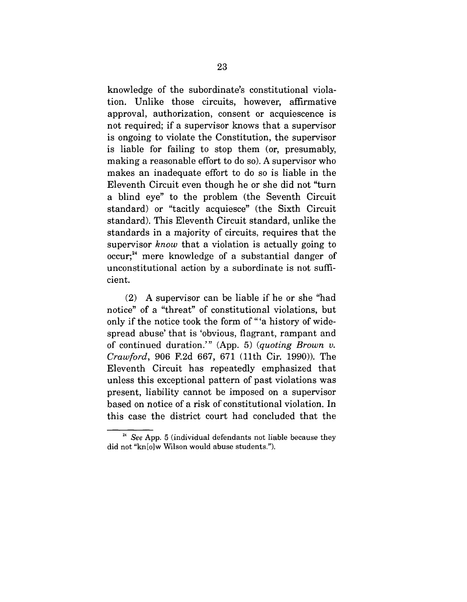knowledge of the subordinate's constitutional violation. Unlike those circuits, however, affirmative approval, authorization, consent or acquiescence is not required; if a supervisor knows that a supervisor is ongoing to violate the Constitution, the supervisor is liable for failing to stop them (or, presumably, making a reasonable effort to do so). A supervisor who makes an inadequate effort to do so is liable in the Eleventh Circuit even though he or she did not "turn a blind eye" to the problem (the Seventh Circuit standard) or "tacitly acquiesce" (the Sixth Circuit standard). This Eleventh Circuit standard, unlike the standards in a majority of circuits, requires that the supervisor *know* that a violation is actually going to occur;<sup>24</sup> mere knowledge of a substantial danger of unconstitutional action by a subordinate is not sufficient.

(2) A supervisor can be liable if he or she "had notice" of a "threat" of constitutional violations, but only if the notice took the form of "'a history of widespread abuse' that is 'obvious, flagrant, rampant and of continued duration.'" (App. 5) *(quoting Brown v. Crawford,* 906 F.2d 667, 671 (llth Cir. 1990)). The Eleventh Circuit has repeatedly emphasized that unless this exceptional pattern of past violations was present, liability cannot be imposed on a supervisor based on notice of a risk of constitutional violation. In this case the district court had concluded that the

*<sup>24</sup> See* App. 5 (individual defendants not liable because they did not "kn[o]w Wilson would abuse students.").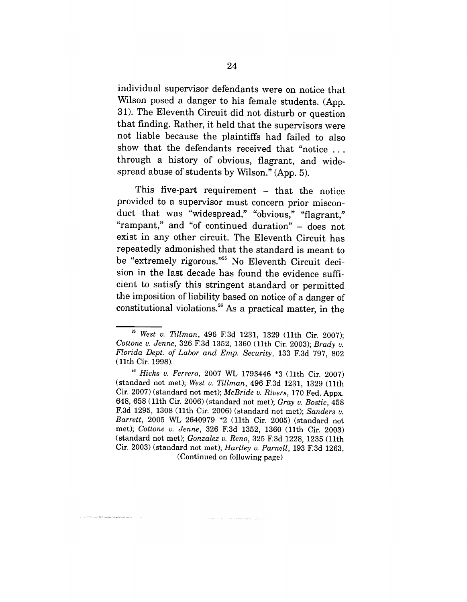individual supervisor defendants were on notice that Wilson posed a danger to his female students. (App. 31). The Eleventh Circuit did not disturb or question that finding. Rather, it held that the supervisors were not liable because the plaintiffs had failed to also show that the defendants received that "notice ... through a history of obvious, flagrant, and widespread abuse of students by Wilson." (App. 5).

This five-part requirement - that the notice provided to a supervisor must concern prior misconduct that was "widespread," "obvious," "flagrant," "rampant," and "of continued duration" - does not exist in any other circuit. The Eleventh Circuit has repeatedly admonished that the standard is meant to be "extremely rigorous."<sup>25</sup> No Eleventh Circuit decision in the last decade has found the evidence sufficient to satisfy this stringent standard or permitted the imposition of liability based on notice of a danger of constitutional violations.<sup>26</sup> As a practical matter, in the

*<sup>25</sup> West v. Tillman,* 496 F.3d 1231, 1329 (llth Cir. 2007); *Cottone v. Jenne,* 326 F.3d 1352, 1360 (llth Cir. 2003); *Brady v. Florida Dept. of Labor and Emp. Security,* 133 F.3d 797, 802 (llth Cir. 1998).

*<sup>26</sup> Hicks v. Ferrero,* 2007 WL 1793446 \*3 (llth Cir. 2007) (standard not met); *West v. Tillman*, 496 F.3d 1231, 1329 (11th Cir. 2007) (standard not met); *McBride v. Rivers,* 170 Fed. Appx. 648, 658 (llth Cir. 2006) (standard not met); *Gray v. Bostic,* 458 F.3d 1295, 1308 (llth Cir. 2006) (standard not met); *Sanders v. Barrett,* 2005 WL 2640979 \*2 (llth Cir. 2005) (standard not met); *Cottone v. Jenne,* 326 F.3d 1352, 1360 (llth Cir. 2003) (standard not met); *Gonzalez v. Reno*, 325 F.3d 1228, 1235 (11th Cir. 2003) (standard not met); *Hartley v. Parnell,* 193 F.3d 1263, (Continued on following page)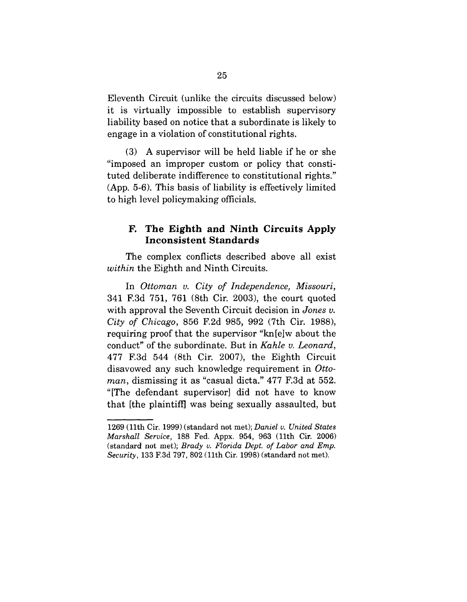Eleventh Circuit (unlike the circuits discussed below) it is virtually impossible to establish supervisory liability based on notice that a subordinate is likely to engage in a violation of constitutional rights.

(3) A supervisor will be held liable if he or she "imposed an improper custom or policy that constituted deliberate indifference to constitutional rights." (App. 5-6). This basis of liability is effectively limited to high level policymaking officials.

### **F. The Eighth and Ninth Circuits Apply Inconsistent Standards**

The complex conflicts described above all exist *within* the Eighth and Ninth Circuits.

In *Ottoman v. City of Independence, Missouri,* 341 F.3d 751, 761 (8th Cir. 2003), the court quoted with approval the Seventh Circuit decision in *Jones v. City of Chicago,* 856 F.2d 985, 992 (7th Cir. 1988), requiring proof that the supervisor "kn[e]w about the conduct" of the subordinate. But in *Kahle v. Leonard,* 477 F.3d 544 (8th Cir. 2007), the Eighth Circuit disavowed any such knowledge requirement in *Ottoman,* dismissing it as "casual dicta." 477 F.3d at 552. "[The defendant supervisor] did not have to know that [the plaintiff] was being sexually assaulted, but

<sup>1269 (11</sup>th Cir. 1999) (standard not met); *Daniel v. United States Marshall Service,* 188 Fed. Appx. 954, 963 (llth Cir. 2006) (standard not met); *Brady v. Florida Dept. of Labor and Emp. Security,* 133 F.3d 797, 802 (llth Cir. 1998) (standard not met).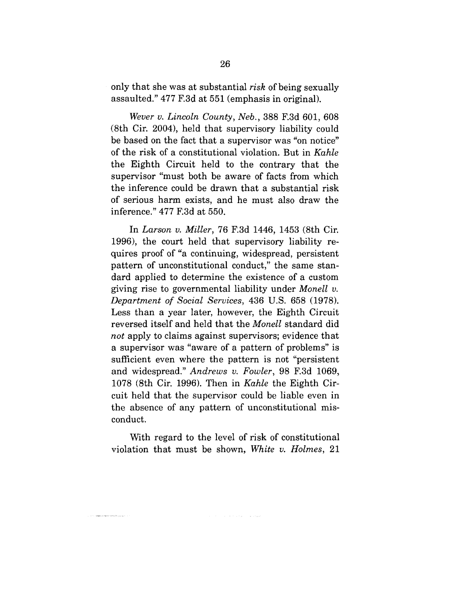only that she was at substantial *risk* of being sexually assaulted." 477 F.3d at 551 (emphasis in original).

*Wever v. Lincoln County, Neb.,* 388 F.3d 601, 608 (8th Cir. 2004), held that supervisory liability could be based on the fact that a supervisor was "on notice" of the risk of a constitutional violation. But in *Kahle* the Eighth Circuit held to the contrary that the supervisor "must both be aware of facts from which the inference could be drawn that a substantial risk of serious harm exists, and he must also draw the inference." 477 F.3d at 550.

In *Larson v. Miller,* 76 F.3d 1446, 1453 (8th Cir. 1996), the court held that supervisory liability requires proof of "a continuing, widespread, persistent pattern of unconstitutional conduct," the same standard applied to determine the existence of a custom giving rise to governmental liability under *MonelI v. Department of Social Services,* 436 U.S. 658 (1978). Less than a year later, however, the Eighth Circuit reversed itself and held that the *Monell* standard did *not* apply to claims against supervisors; evidence that a supervisor was "aware of a pattern of problems" is sufficient even where the pattern is not "persistent and widespread." *Andrews v. Fowler,* 98 F.3d 1069, 1078 (8th Cir. 1996). Then in *Kahle* the Eighth Circuit held that the supervisor could be liable even in the absence of any pattern of unconstitutional misconduct.

With regard to the level of risk of constitutional violation that must be shown, *White v. Holmes,* 21

 $\mathcal{L}^{\mathcal{L}}$  , we can express that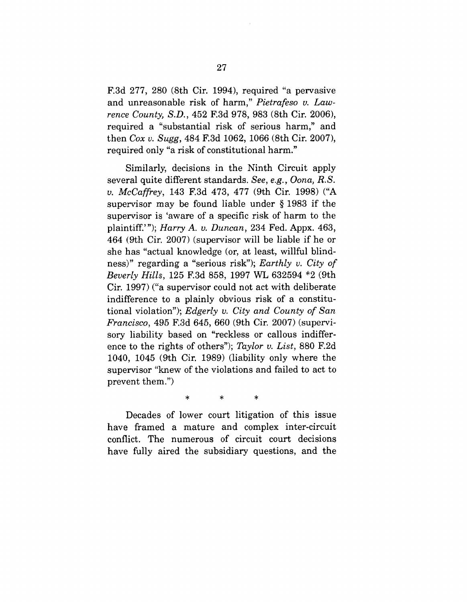F.3d 277, 280 (8th Cir. 1994), required "a pervasive and unreasonable risk of harm," *Pietrafeso v. Lawrence County, S.D.,* 452 F.3d 978, 983 (8th Cir. 2006), required a "substantial risk of serious harm," and then *Cox v. Sugg,* 484 F.3d 1062, 1066 (8th Cir. 2007), required only "a risk of constitutional harm."

Similarly, decisions in the Ninth Circuit apply several quite different standards. *See, e.g., Oona, R.S. v. McCaffrey,* 143 F.3d 473, 477 (9th Cir. 1998) ("A supervisor may be found liable under § 1983 if the supervisor is 'aware of a specific risk of harm to the plaintiff.'"); *Harry A. v. Duncan,* 234 Fed. Appx. 463, 464 (9th Cir. 2007) (supervisor will be liable if he or she has "actual knowledge (or, at least, willful blindness)" regarding a "serious risk"); *Earthly v. City of Beverly Hills,* 125 F.3d 858, 1997 WL 632594 \*2 (9th Cir. 1997) ("a supervisor could not act with deliberate indifference to a plainly obvious risk of a constitutional violation"); *Edgerly v. City and County of San Francisco,* 495 F.3d 645, 660 (9th Cir. 2007) (supervisory liability based on "reckless or callous indifference to the rights of others"); *Taylor v. List,* 880 F.2d 1040, 1045 (9th Cir. 1989) (liability only where the supervisor "knew of the violations and failed to act to prevent them.")

> $\ast$  $\ast$  $\ast$

Decades of lower court litigation of this issue have framed a mature and complex inter-circuit conflict. The numerous of circuit court decisions have fully aired the subsidiary questions, and the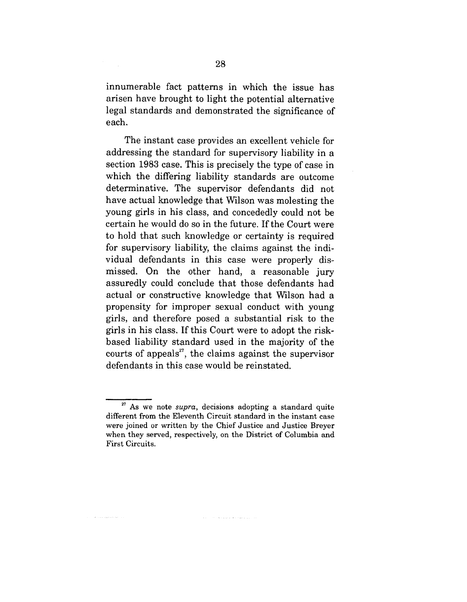innumerable fact patterns in which the issue has arisen have brought to light the potential alternative legal standards and demonstrated the significance of each.

The instant case provides an excellent vehicle for addressing the standard for supervisory liability in a section 1983 case. This is precisely the type of case in which the differing liability standards are outcome determinative. The supervisor defendants did not have actual knowledge that Wilson was molesting the young girls in his class, and concededly could not be certain he would do so in the future. If the Court were to hold that such knowledge or certainty is required for supervisory liability, the claims against the individual defendants in this case were properly dismissed. On the other hand, a reasonable jury assuredly could conclude that those defendants had actual or constructive knowledge that Wilson had a propensity for improper sexual conduct with young girls, and therefore posed a substantial risk to the girls in his class. If this Court were to adopt the riskbased liability standard used in the majority of the courts of appeals<sup>27</sup>, the claims against the supervisor defendants in this case would be reinstated.

The company of the same

 $\label{eq:1} \left\langle \hat{A} \hat{A} \right\rangle + \left\langle \hat{a} \hat{A} \right\rangle + \left\langle \hat{a} \hat{A} \right\rangle + \left\langle \hat{a} \hat{A} \right\rangle + \left\langle \hat{a} \hat{A} \right\rangle + \left\langle \hat{a} \hat{A} \right\rangle + \left\langle \hat{a} \hat{A} \right\rangle$ 

<sup>&</sup>lt;sup>27</sup> As we note *supra*, decisions adopting a standard quite different from the Eleventh Circuit standard in the instant case were joined or written by the Chief Justice and Justice Breyer when they served, respectively, on the District of Columbia and First Circuits.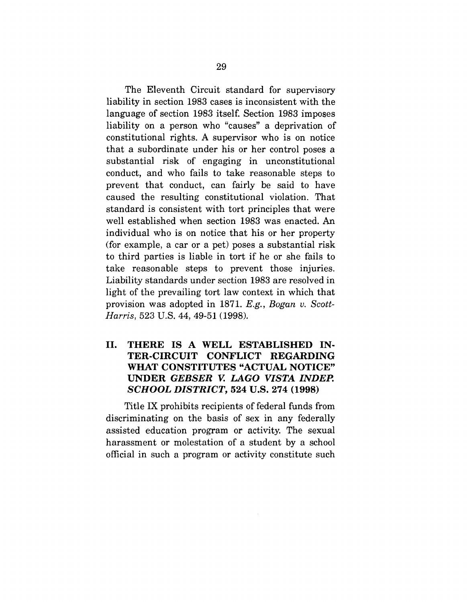The Eleventh Circuit standard for supervisory liability in section 1983 cases is inconsistent with the language of section 1983 itself. Section 1983 imposes liability on a person who "causes" a deprivation of constitutional rights. A supervisor who is on notice that a subordinate under his or her control poses a substantial risk of engaging in unconstitutional conduct, and who fails to take reasonable steps to prevent that conduct, can fairly be said to have caused the resulting constitutional violation. That standard is consistent with tort principles that were well established when section 1983 was enacted. An individual who is on notice that his or her property (for example, a car or a pet) poses a substantial risk to third parties is liable in tort if he or she fails to take reasonable steps to prevent those injuries. Liability standards under section 1983 are resolved in light of the prevailing tort law context in which that provision was adopted in 1871. *E.g., Bogan v. Scott-Harris,* 523 U.S. 44, 49-51 (1998).

## **II. THERE IS A WELL ESTABLISHED IN-TER-CIRCUIT CONFLICT REGARDING** WHAT CONSTITUTES "ACTUAL **NOTICE" UNDER** *GEBSER V. LAGO VISTA INDEP. SCHOOL DISTRICT,* **524 U.S. 274 (1998)**

Title IX prohibits recipients of federal funds from discriminating on the basis of sex in any federally assisted education program or activity. The sexual harassment or molestation of a student by a school official in such a program or activity constitute such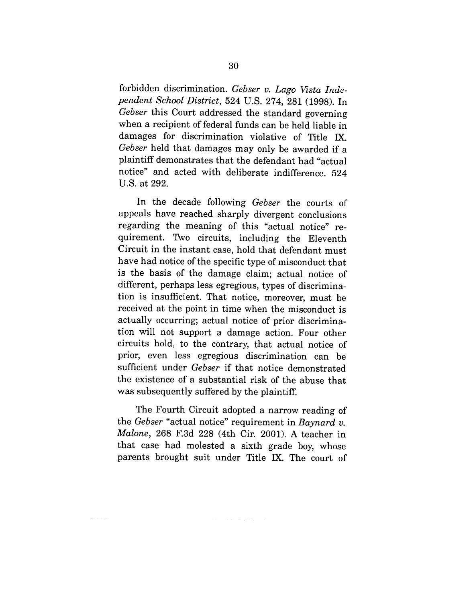forbidden discrimination. *Gebser v. Lago Vista Independent School District,* 524 U.S. 274, 281 (1998). In *Gebser* this Court addressed the standard governing when a recipient of federal funds can be held liable in damages for discrimination violative of Title IX. *Gebser* held that damages may only be awarded if a plaintiff demonstrates that the defendant had "actual notice" and acted with deliberate indifference. 524 U.S. at 292.

In the decade following *Gebser* the courts of appeals have reached sharply divergent conclusions regarding the meaning of this "actual notice" requirement. Two circuits, including the Eleventh Circuit in the instant case, hold that defendant must have had notice of the specific type of misconduct that is the basis of the damage claim; actual notice of different, perhaps less egregious, types of discrimination is insufficient. That notice, moreover, must be received at the point in time when the misconduct is actually occurring; actual notice of prior discrimination will not support a damage action. Four other circuits hold, to the contrary, that actual notice of prior, even less egregious discrimination can be sufficient under *Gebser* if that notice demonstrated the existence of a substantial risk of the abuse that was subsequently suffered by the plaintiff.

The Fourth Circuit adopted a narrow reading of the *Gebser* "actual notice" requirement in *Baynard v. Malone,* 268 F.3d 228 (4th Cir. 2001). A teacher in that case had molested a sixth grade boy, whose parents brought suit under Title IX. The court of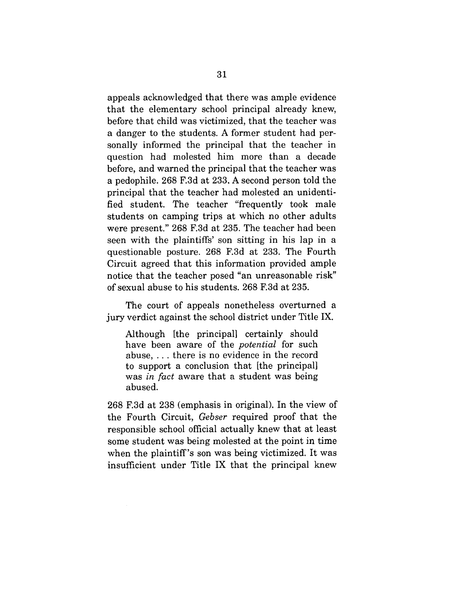appeals acknowledged that there was ample evidence that the elementary school principal already knew, before that child was victimized, that the teacher was a danger to the students. A former student had personally informed the principal that the teacher in question had molested him more than a decade before, and warned the principal that the teacher was a pedophile. 268 F.3d at 233. A second person told the principal that the teacher had molested an unidentified student. The teacher "frequently took male students on camping trips at which no other adults were present." 268 F.3d at 235. The teacher had been seen with the plaintiffs' son sitting in his lap in a questionable posture. 268 F.3d at 233. The Fourth Circuit agreed that this information provided ample notice that the teacher posed "an unreasonable risk" of sexual abuse to his students. 268 F.3d at 235.

The court of appeals nonetheless overturned a jury verdict against the school district under Title IX.

Although [the principal] certainly should have been aware of the *potential* for such abuse, ... there is no evidence in the record to support a conclusion that [the principal] was *in fact* aware that a student was being abused.

268 F.3d at 238 (emphasis in original). In the view of the Fourth Circuit, *Gebser* required proof that the responsible school official actually knew that at least some student was being molested at the point in time when the plaintiff's son was being victimized. It was insufficient under Title IX that the principal knew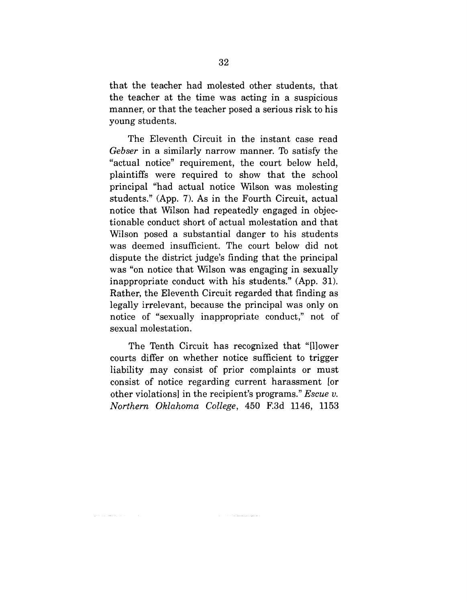that the teacher had molested other students, that the teacher at the time was acting in a suspicious manner, or that the teacher posed a serious risk to his young students.

The Eleventh Circuit in the instant case read *Gebser* in a similarly narrow manner. To satisfy the "actual notice" requirement, the court below held, plaintiffs were required to show that the school principal "had actual notice Wilson was molesting students." (App. 7). As in the Fourth Circuit, actual notice that Wilson had repeatedly engaged in objectionable conduct short of actual molestation and that Wilson posed a substantial danger to his students was deemed insufficient. The court below did not dispute the district judge's finding that the principal was "on notice that Wilson was engaging in sexually inappropriate conduct with his students." (App. 31). Rather, the Eleventh Circuit regarded that finding as legally irrelevant, because the principal was only on notice of "sexually inappropriate conduct," not of sexual molestation.

The Tenth Circuit has recognized that "[1]ower courts differ on whether notice sufficient to trigger liability may consist of prior complaints or must consist of notice regarding current harassment [or other violations] in the recipient's programs." *Escue v. Northern Oklahoma College,* 450 F.3d 1146, 1153

**The Commission Commission Commission** 

and the second state of the second state of the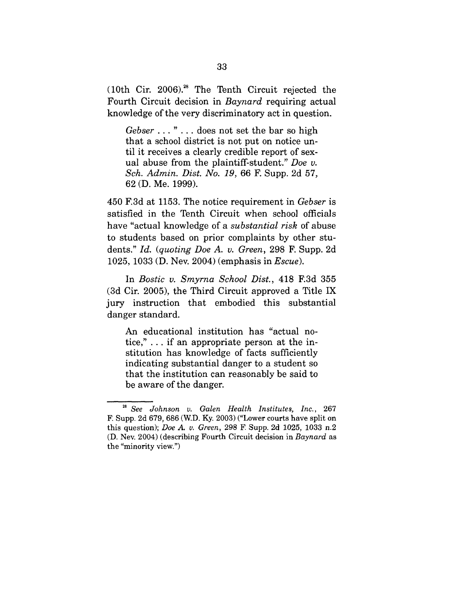(10th Cir. 2006).28 The Tenth Circuit rejected the Fourth Circuit decision in *Baynard* requiring actual knowledge of the very discriminatory act in question.

*Gebser ...* " ... does not set the bar so high that a school district is not put on notice until it receives a clearly credible report of sexual abuse from the plaintiff-student." *Doe v. Sch. Admin. Dist. No. 19,* 66 F. Supp. 2d 57, 62 (D. Me. 1999).

450 F.3d at 1153. The notice requirement in *Gebser* is satisfied in the Tenth Circuit when school officials have "actual knowledge of a *substantial risk* of abuse to students based on prior complaints by other students." *Id. (quoting Doe A. v. Green,* 298 F. Supp. 2d 1025, 1033 (D. Nev. 2004) (emphasis in *Escue).*

In *Bostic v. Smyrna School Dist.,* 418 F.3d 355 (3d Cir. 2005), the Third Circuit approved a Title IX jury instruction that embodied this substantial danger standard.

An educational institution has "actual notice," ... if an appropriate person at the institution has knowledge of facts sufficiently indicating substantial danger to a student so that the institution can reasonably be said to be aware of the danger.

*<sup>28</sup> See Johnson v. Galen Health Institutes, Inc.,* 267 F. Supp. 2d 679, 686 (W.D. Ky. 2003) ("Lower courts have split on this question); *Doe A. v. Green,* 298 F. Supp. 2d 1025, 1033 n.2 (D. Nev. 2004) (describing Fourth Circuit decision in *Baynard* as the "minority view.")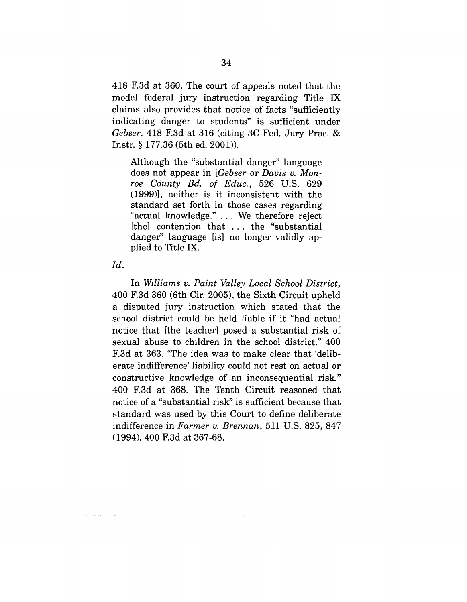418 F.3d at 360. The court of appeals noted that the model federal jury instruction regarding Title IX claims also provides that notice of facts "sufficiently indicating danger to students" is sufficient under *Gebser.* 418 F.3d at 316 (citing 3C Fed. Jury Prac. & Instr. § 177.36 (5th ed. 2001)).

Although the "substantial danger" language does not appear in *[Gebser* or *Davis v. Monroe County Bd. of Educ.,* 526 U.S. 629 (1999)], neither is it inconsistent with the standard set forth in those cases regarding "actual knowledge."... We therefore reject [the] contention that ... the "substantial danger" language [is] no longer validly applied to Title IX.

#### $Id.$

 $\alpha$  ,  $\alpha$  is a constant of the state  $\alpha$ 

In *Williams v. Paint Valley Local School District,* 400 F.3d 360 (6th Cir. 2005), the Sixth Circuit upheld a disputed jury instruction which stated that the school district could be held liable if it 'had actual notice that [the teacher] posed a substantial risk of sexual abuse to children in the school district." 400 F.3d at 363. "The idea was to make clear that 'deliberate indifference' liability could not rest on actual or constructive knowledge of an inconsequential risk." 400 F.3d at 368. The Tenth Circuit reasoned that notice of a "substantial risk" is sufficient because that standard was used by this Court to define deliberate indifference in *Farmer v. Brennan,* 511 U.S. 825, 847 (1994). 400 F.3d at 367-68.

 $\mathcal{A}(\mathcal{A})$  , we can also a set  $\mathcal{A}(\mathcal{A})$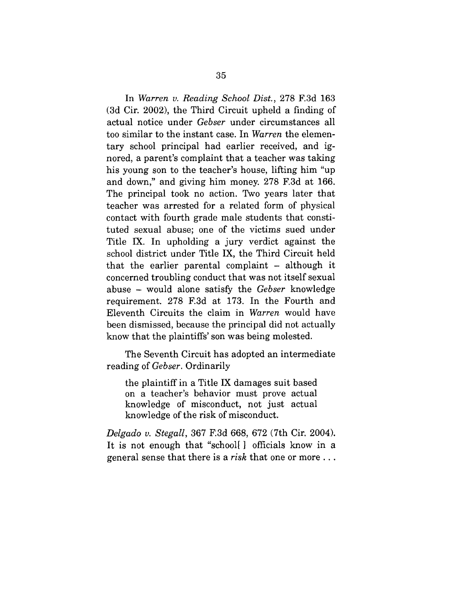In *Warren v. Reading School Dist.,* 278 F.3d 163 (3d Cir. 2002), the Third Circuit upheld a finding of actual notice under *Gebser* under circumstances all too similar to the instant case. In *Warren* the elementary school principal had earlier received, and ignored, a parent's complaint that a teacher was taking his young son to the teacher's house, lifting him "up and down," and giving him money. 278 F.3d at 166. The principal took no action. Two years later that teacher was arrested for a related form of physical contact with fourth grade male students that constituted sexual abuse; one of the victims sued under Title IX. In upholding a jury verdict against the school district under Title IX, the Third Circuit held that the earlier parental complaint  $-$  although it concerned troubling conduct that was not itself sexual abuse - would alone satisfy the *Gebser* knowledge requirement. 278 F.3d at 173. In the Fourth and Eleventh Circuits the claim in *Warren* would have been dismissed, because the principal did not actually know that the plaintiffs' son was being molested.

The Seventh Circuit has adopted an intermediate reading of *Gebser.* Ordinarily

the plaintiff in a Title IX damages suit based on a teacher's behavior must prove actual knowledge of misconduct, not just actual knowledge of the risk of misconduct.

*Delgado v. Stegall,* 367 F.3d 668, 672 (7th Cir. 2004). It is not enough that "school[] officials know in a general sense that there is a *risk* that one or more...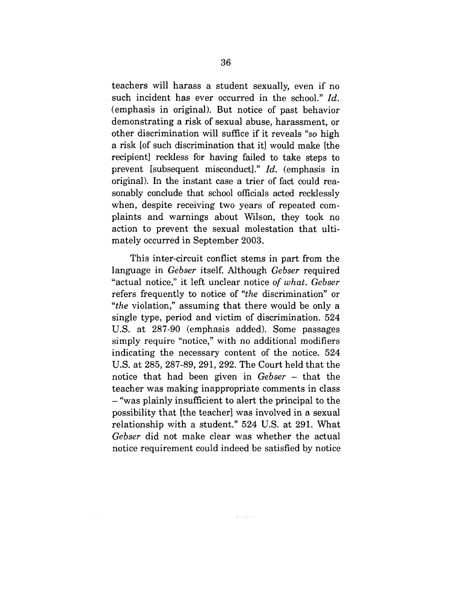teachers will harass a student sexually, even if no such incident has ever occurred in the school." *Id.* (emphasis in original). But notice of past behavior demonstrating a risk of sexual abuse, harassment, or other discrimination will suffice if it reveals *"so* high a risk [of such discrimination that it] would make [the recipient] reckless for having failed to take steps to prevent [subsequent misconduct]." *Id.* (emphasis in original). In the instant case a trier of fact could reasonably conclude that school officials acted recklessly when, despite receiving two years of repeated complaints and warnings about Wilson, they took no action to prevent the sexual molestation that ultimately occurred in September 2003.

This inter-circuit conflict stems in part from the language in *Gebser* itself. Although *Gebser* required "actual notice," it left unclear notice *of what. Gebser* refers frequently to notice of *"the* discrimination" or *"the* violation," assuming that there would be only a single type, period and victim of discrimination. 524 U.S. at 287-90 (emphasis added). Some passages simply require "notice," with no additional modifiers indicating the necessary content of the notice. 524 U.S. at 285, 287-89, 291, 292. The Court held that the notice that had been given in *Gebser -* that the teacher was making inappropriate comments in class - "was plainly insufficient to alert the principal to the possibility that [the teacher] was involved in a sexual relationship with a student." 524 U.S. at 291. What *Gebser* did not make clear was whether the actual notice requirement could indeed be satisfied by notice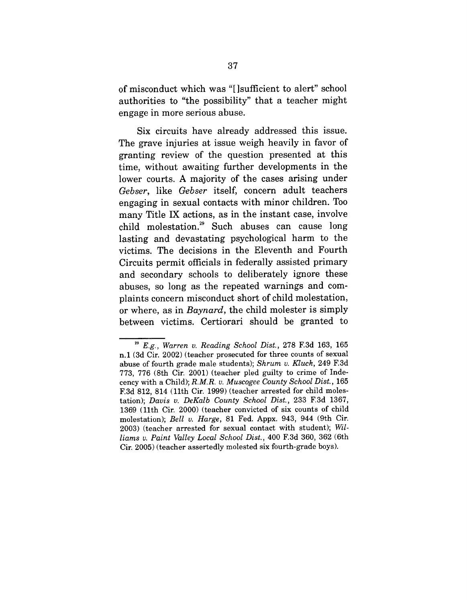of misconduct which was "[]sufficient to alert" school authorities to "the possibility" that a teacher might engage in more serious abuse.

Six circuits have already addressed this issue. The grave injuries at issue weigh heavily in favor of granting review of the question presented at this time, without awaiting further developments in the lower courts. A majority of the cases arising under *Gebser,* like *Gebser* itself, concern adult teachers engaging in sexual contacts with minor children. Too many Title IX actions, as in the instant case, involve child molestation.<sup>29</sup> Such abuses can cause long lasting and devastating psychological harm to the victims. The decisions in the Eleventh and Fourth Circuits permit officials in federally assisted primary and secondary schools to deliberately ignore these abuses, so long as the repeated warnings and complaints concern misconduct short of child molestation, or where, as in *Baynard,* the child molester is simply between victims. Certiorari should be granted to

*<sup>59</sup> E.g., Warren v. Reading School Dist.,* 278 F.3d 163, 165 n.1 (3d Cir. 2002) (teacher prosecuted for three counts of sexual abuse of fourth grade male students); *Shrum v. Kluck,* 249 F.3d 773, 776 (8th Cir. 2001) (teacher pled guilty to crime of Indecency with a Child); *R.M.R. v. Muscogee County School Dist.,* 165 F.3d 812, 814 (llth Cir. 1999) (teacher arrested for child molestation); *Davis v. DeKalb County School Dist.,* 233 F.3d 1367, 1369 (llth Cir. 2000) (teacher convicted of six counts of child molestation); *Bell v. Harge,* 81 Fed. Appx. 943, 944 (9th Cir. 2003) (teacher arrested for sexual contact with student); *Williams v. Paint Valley Local School Dist.,* 400 F.3d 360, 362 (6th Cir. 2005) (teacher assertedly molested six fourth-grade boys).